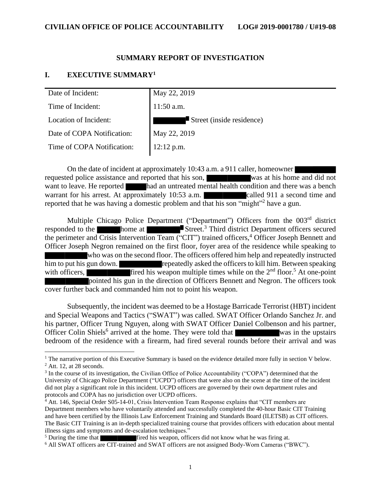### **SUMMARY REPORT OF INVESTIGATION**

### **I. EXECUTIVE SUMMARY<sup>1</sup>**

| Date of Incident:          | May 22, 2019              |
|----------------------------|---------------------------|
| Time of Incident:          | $11:50$ a.m.              |
| Location of Incident:      | Street (inside residence) |
| Date of COPA Notification: | May 22, 2019              |
| Time of COPA Notification: | 12:12 p.m.                |

On the date of incident at approximately 10:43 a.m. a 911 caller, homeowner requested police assistance and reported that his son, was at his home and did not want to leave. He reported had an untreated mental health condition and there was a bench warrant for his arrest. At approximately 10:53 a.m. called 911 a second time and reported that he was having a domestic problem and that his son "might"<sup>2</sup> have a gun.

Multiple Chicago Police Department ("Department") Officers from the 003rd district responded to the home at Street.<sup>3</sup> Third district Department officers secured the perimeter and Crisis Intervention Team ("CIT") trained officers, <sup>4</sup> Officer Joseph Bennett and Officer Joseph Negron remained on the first floor, foyer area of the residence while speaking to who was on the second floor. The officers offered him help and repeatedly instructed him to put his gun down. repeatedly asked the officers to kill him. Between speaking with officers, fired his weapon multiple times while on the  $2<sup>nd</sup>$  floor.<sup>5</sup> At one-point pointed his gun in the direction of Officers Bennett and Negron. The officers took cover further back and commanded him not to point his weapon.

Subsequently, the incident was deemed to be a Hostage Barricade Terrorist (HBT) incident and Special Weapons and Tactics ("SWAT") was called. SWAT Officer Orlando Sanchez Jr. and his partner, Officer Trung Nguyen, along with SWAT Officer Daniel Colbenson and his partner, Officer Colin Shiels<sup>6</sup> arrived at the home. They were told that was in the upstairs bedroom of the residence with a firearm, had fired several rounds before their arrival and was

<sup>5</sup> During the time that **fired** his weapon, officers did not know what he was firing at.

<sup>&</sup>lt;sup>1</sup> The narrative portion of this Executive Summary is based on the evidence detailed more fully in section V below.  $2$  Att. 12, at 28 seconds.

<sup>&</sup>lt;sup>3</sup> In the course of its investigation, the Civilian Office of Police Accountability ("COPA") determined that the University of Chicago Police Department ("UCPD") officers that were also on the scene at the time of the incident

did not play a significant role in this incident. UCPD officers are governed by their own department rules and protocols and COPA has no jurisdiction over UCPD officers.

<sup>&</sup>lt;sup>4</sup> Att. 146, Special Order S05-14-01, Crisis Intervention Team Response explains that "CIT members are Department members who have voluntarily attended and successfully completed the 40-hour Basic CIT Training and have been certified by the Illinois Law Enforcement Training and Standards Board (ILETSB) as CIT officers. The Basic CIT Training is an in-depth specialized training course that provides officers with education about mental illness signs and symptoms and de-escalation techniques."

<sup>6</sup> All SWAT officers are CIT-trained and SWAT officers are not assigned Body-Worn Cameras ("BWC").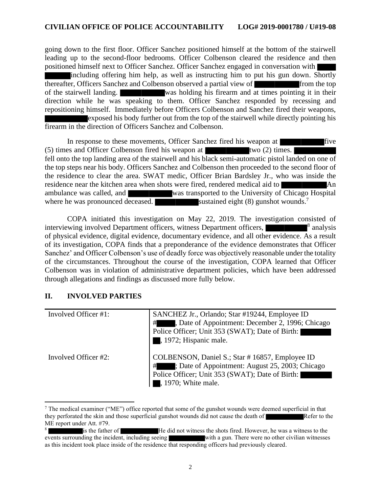going down to the first floor. Officer Sanchez positioned himself at the bottom of the stairwell leading up to the second-floor bedrooms. Officer Colbenson cleared the residence and then positioned himself next to Officer Sanchez. Officer Sanchez engaged in conversation with

including offering him help, as well as instructing him to put his gun down. Shortly thereafter, Officers Sanchez and Colbenson observed a partial view of from the top of the stairwell landing. was holding his firearm and at times pointing it in their direction while he was speaking to them. Officer Sanchez responded by recessing and repositioning himself. Immediately before Officers Colbenson and Sanchez fired their weapons, exposed his body further out from the top of the stairwell while directly pointing his firearm in the direction of Officers Sanchez and Colbenson.

In response to these movements, Officer Sanchez fired his weapon at five  $(5)$  times and Officer Colbenson fired his weapon at two  $(2)$  times. fell onto the top landing area of the stairwell and his black semi-automatic pistol landed on one of the top steps near his body. Officers Sanchez and Colbenson then proceeded to the second floor of the residence to clear the area. SWAT medic, Officer Brian Bardsley Jr., who was inside the residence near the kitchen area when shots were fired, rendered medical aid to An ambulance was called, and was transported to the University of Chicago Hospital where he was pronounced deceased. sustained eight (8) gunshot wounds.<sup>7</sup>

COPA initiated this investigation on May 22, 2019. The investigation consisted of interviewing involved Department officers, witness Department officers, <sup>8</sup>  $\blacksquare^8$  analysis of physical evidence, digital evidence, documentary evidence, and all other evidence. As a result of its investigation, COPA finds that a preponderance of the evidence demonstrates that Officer Sanchez' and Officer Colbenson's use of deadly force was objectively reasonable under the totality of the circumstances. Throughout the course of the investigation, COPA learned that Officer Colbenson was in violation of administrative department policies, which have been addressed through allegations and findings as discussed more fully below.

## **II. INVOLVED PARTIES**

| Involved Officer #1: | SANCHEZ Jr., Orlando; Star #19244, Employee ID<br>, Date of Appointment: December 2, 1996; Chicago<br>#<br>Police Officer; Unit 353 (SWAT); Date of Birth:<br>, 1972; Hispanic male. |
|----------------------|--------------------------------------------------------------------------------------------------------------------------------------------------------------------------------------|
| Involved Officer #2: | COLBENSON, Daniel S.; Star #16857, Employee ID<br>; Date of Appointment: August 25, 2003; Chicago<br>#<br>Police Officer; Unit 353 (SWAT); Date of Birth:<br>, 1970; White male.     |

 $^7$  The medical examiner ("ME") office reported that some of the gunshot wounds were deemed superficial in that they perforated the skin and those superficial gunshot wounds did not cause the death of Refer to the ME report under Att. #79.

<sup>8</sup> <sup>8</sup><br>events surrounding the incident, including seeing<br>with a gun. There were no other civilian witnesses with a gun. There were no other civilian witnesses as this incident took place inside of the residence that responding officers had previously cleared.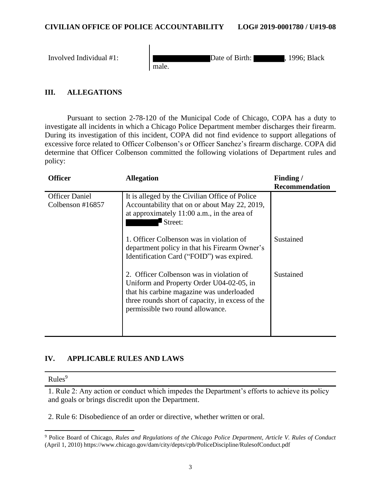| Involved Individual #1: | 1996; Black<br>Date of Birth:<br>male. |
|-------------------------|----------------------------------------|
|-------------------------|----------------------------------------|

# **III. ALLEGATIONS**

Pursuant to section 2-78-120 of the Municipal Code of Chicago, COPA has a duty to investigate all incidents in which a Chicago Police Department member discharges their firearm. During its investigation of this incident, COPA did not find evidence to support allegations of excessive force related to Officer Colbenson's or Officer Sanchez's firearm discharge. COPA did determine that Officer Colbenson committed the following violations of Department rules and policy:

| <b>Officer</b>                               | <b>Allegation</b>                                                                                                                                                                                                         | Finding/              |
|----------------------------------------------|---------------------------------------------------------------------------------------------------------------------------------------------------------------------------------------------------------------------------|-----------------------|
|                                              |                                                                                                                                                                                                                           | <b>Recommendation</b> |
| <b>Officer Daniel</b><br>Colbenson $\#16857$ | It is alleged by the Civilian Office of Police<br>Accountability that on or about May 22, 2019,<br>at approximately $11:00$ a.m., in the area of<br>Street:                                                               |                       |
|                                              | 1. Officer Colbenson was in violation of<br>department policy in that his Firearm Owner's<br>Identification Card ("FOID") was expired.                                                                                    | Sustained             |
|                                              | 2. Officer Colbenson was in violation of<br>Uniform and Property Order U04-02-05, in<br>that his carbine magazine was underloaded<br>three rounds short of capacity, in excess of the<br>permissible two round allowance. | Sustained             |

## **IV. APPLICABLE RULES AND LAWS**

 $Rules<sup>9</sup>$ 

1. Rule 2: Any action or conduct which impedes the Department's efforts to achieve its policy and goals or brings discredit upon the Department.

2. Rule 6: Disobedience of an order or directive, whether written or oral.

<sup>9</sup> Police Board of Chicago, *Rules and Regulations of the Chicago Police Department, Article V. Rules of Conduct* (April 1, 2010) https://www.chicago.gov/dam/city/depts/cpb/PoliceDiscipline/RulesofConduct.pdf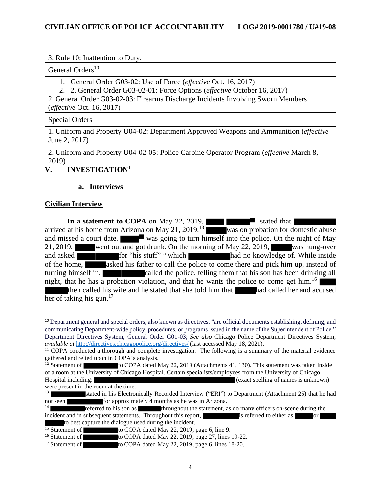3. Rule 10: Inattention to Duty.

General Orders<sup>10</sup>

1. General Order G03-02: Use of Force (*effective* Oct. 16, 2017)

2. 2. General Order G03-02-01: Force Options (*effective* October 16, 2017)

2. General Order G03-02-03: Firearms Discharge Incidents Involving Sworn Members (*effective* Oct. 16, 2017)

Special Orders

1. Uniform and Property U04-02: Department Approved Weapons and Ammunition (*effective*  June 2, 2017)

2. Uniform and Property U04-02-05: Police Carbine Operator Program (*effective* March 8, 2019)

# **V. INVESTIGATION**<sup>11</sup>

### **a. Interviews**

### **Civilian Interview**

**In a statement to COPA** on May 22, 2019, arrived at his home from Arizona on May 21, 2019.<sup>13</sup> was on probation for domestic abuse and missed a court date. was going to turn himself into the police. On the night of May 21, 2019, went out and got drunk. On the morning of May 22, 2019, was hung-over and asked  $\overline{f}$  for "his stuff"<sup>15</sup> which had no knowledge of. While inside of the home, asked his father to call the police to come there and pick him up, instead of turning himself in. called the police, telling them that his son has been drinking all night, that he has a probation violation, and that he wants the police to come get him.<sup>16</sup>

then called his wife and he stated that she told him that had called her and accused her of taking his gun. $17$ 

<sup>&</sup>lt;sup>10</sup> Department general and special orders, also known as directives, "are official documents establishing, defining, and communicating Department-wide policy, procedures, or programs issued in the name of the Superintendent of Police." Department Directives System, General Order G01-03; *See also* Chicago Police Department Directives System, *available at* <http://directives.chicagopolice.org/directives/> (last accessed May 18, 2021).

<sup>&</sup>lt;sup>11</sup> COPA conducted a thorough and complete investigation. The following is a summary of the material evidence gathered and relied upon in COPA's analysis.

 $\frac{1}{2}$  Statement of to COPA dated May 22, 2019 (Attachments 41, 130). This statement was taken inside of a room at the University of Chicago Hospital. Certain specialists/employees from the University of Chicago Hospital including: (exact spelling of names is unknown) were present in the room at the time.

stated in his Electronically Recorded Interview ("ERI") to Department (Attachment 25) that he had not seen for approximately 4 months as he was in Arizona.<br>
referred to his son as **the actival the statement**, a

throughout the statement, as do many officers on-scene during the incident and in subsequent statements. Throughout this report, is referred to either as or to best capture the dialogue used during the incident.

<sup>&</sup>lt;sup>15</sup> Statement of to COPA dated May 22, 2019, page 6, line 9.<br><sup>16</sup> Statement of to COPA dated May 22, 2019, page 27, lines

to COPA dated May 22, 2019, page 27, lines 19-22.

<sup>&</sup>lt;sup>17</sup> Statement of to COPA dated May 22, 2019, page 6, lines 18-20.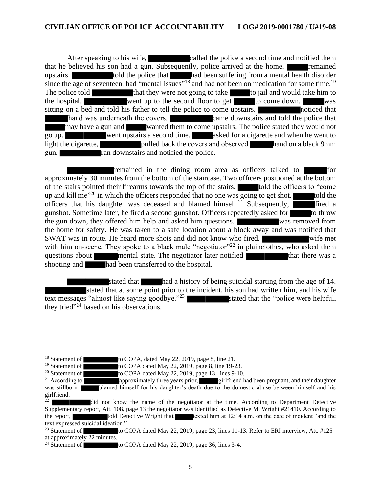After speaking to his wife, called the police a second time and notified them that he believed his son had a gun. Subsequently, police arrived at the home. **Following** remained upstairs. told the police that had been suffering from a mental health disorder since the age of seventeen, had "mental issues"<sup>18</sup> and had not been on medication for some time.<sup>19</sup> The police told<br>that they were not going to take to jail and would take him to<br>the hospital. the hospital. Went up to the second floor to get to come down. was sitting on a bed and told his father to tell the police to come upstairs. noticed that hand was underneath the covers. came downstairs and told the police that may have a gun and wanted them to come upstairs. The police stated they would not go up. went upstairs a second time. asked for a cigarette and when he went to light the cigarette, **pulled back** the covers and observed hand on a black 9mm gun. **randownstairs and notified the police.** 

remained in the dining room area as officers talked to approximately 30 minutes from the bottom of the staircase. Two officers positioned at the bottom of the stairs pointed their firearms towards the top of the stairs. The told the officers to "come up and kill me<sup>"20</sup> in which the officers responded that no one was going to get shot. told the officers that his daughter was deceased and blamed himself.<sup>21</sup> Subsequently, fired a gunshot. Sometime later, he fired a second gunshot. Officers repeatedly asked for to throw the gun down, they offered him help and asked him questions. was removed from the home for safety. He was taken to a safe location about a block away and was notified that SWAT was in route. He heard more shots and did not know who fired. Write met with him on-scene. They spoke to a black male "negotiator"<sup>22</sup> in plainclothes, who asked them questions about mental state. The negotiator later notified that there was a shooting and had been transferred to the hospital.

stated that had a history of being suicidal starting from the age of 14. stated that at some point prior to the incident, his son had written him, and his wife text messages "almost like saying goodbye."<sup>23</sup> stated that the "police were helpful, they tried"<sup>24</sup> based on his observations.

<sup>&</sup>lt;sup>18</sup> Statement of to COPA, dated May 22, 2019, page 8, line 21.<br><sup>19</sup> Statement of to COPA dated May 22, 2019, page 8, line 19-2

<sup>&</sup>lt;sup>19</sup> Statement of **the COPA** dated May 22, 2019, page 8, line 19-23.<br><sup>20</sup> Statement of **the COPA** dated May 22, 2019, page 13, lines 9-10.

<sup>&</sup>lt;sup>20</sup> Statement of **the COPA** dated May 22, 2019, page 13, lines 9-10.<br><sup>21</sup> According to **the approximately** three years prior, **the substantial** girlfriend h

approximately three years prior, girlfriend had been pregnant, and their daughter was stillborn. **blamed himself for his daughter's death due to the domestic abuse between himself and his** girlfriend.

<sup>22</sup> did not know the name of the negotiator at the time. According to Department Detective Supplementary report, Att. 108, page 13 the negotiator was identified as Detective M. Wright #21410. According to the report, told Detective Wright that texted him at 12:14 a.m. on the date of incident "and the text expressed suicidal ideation."

<sup>&</sup>lt;sup>23</sup> Statement of to COPA dated May 22, 2019, page 23, lines 11-13. Refer to ERI interview, Att. #125 at approximately 22 minutes.

<sup>&</sup>lt;sup>24</sup> Statement of to COPA dated May 22, 2019, page 36, lines 3-4.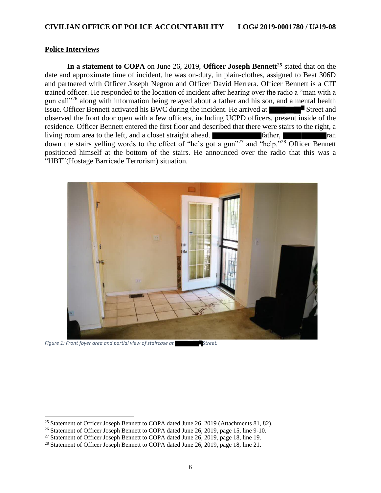#### **Police Interviews**

**In a statement to COPA** on June 26, 2019, **Officer Joseph Bennett<sup>25</sup>** stated that on the date and approximate time of incident, he was on-duty, in plain-clothes, assigned to Beat 306D and partnered with Officer Joseph Negron and Officer David Herrera. Officer Bennett is a CIT trained officer. He responded to the location of incident after hearing over the radio a "man with a gun call<sup>326</sup> along with information being relayed about a father and his son, and a mental health issue. Officer Bennett activated his BWC during the incident. He arrived at Street and observed the front door open with a few officers, including UCPD officers, present inside of the residence. Officer Bennett entered the first floor and described that there were stairs to the right, a living room area to the left, and a closet straight ahead. **Father, ran** father, down the stairs yelling words to the effect of "he's got a gun"<sup>27</sup> and "help."<sup>28</sup> Officer Bennett positioned himself at the bottom of the stairs. He announced over the radio that this was a "HBT"(Hostage Barricade Terrorism) situation.



*Figure 1: Front foyer area and partial view of staircase at* Street.

<sup>&</sup>lt;sup>25</sup> Statement of Officer Joseph Bennett to COPA dated June 26, 2019 (Attachments 81, 82).

<sup>&</sup>lt;sup>26</sup> Statement of Officer Joseph Bennett to COPA dated June 26, 2019, page 15, line 9-10.

<sup>&</sup>lt;sup>27</sup> Statement of Officer Joseph Bennett to COPA dated June 26, 2019, page 18, line 19.

<sup>&</sup>lt;sup>28</sup> Statement of Officer Joseph Bennett to COPA dated June 26, 2019, page 18, line 21.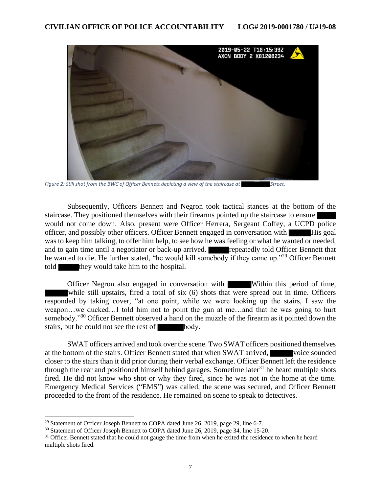

Figure 2: Still shot from the BWC of Officer Bennett depicting a view of the staircase at Street.

Subsequently, Officers Bennett and Negron took tactical stances at the bottom of the staircase. They positioned themselves with their firearms pointed up the staircase to ensure would not come down. Also, present were Officer Herrera, Sergeant Coffey, a UCPD police officer, and possibly other officers. Officer Bennett engaged in conversation with His goal was to keep him talking, to offer him help, to see how he was feeling or what he wanted or needed, and to gain time until a negotiator or back-up arrived. **The repeatedly told Officer Bennett that** he wanted to die. He further stated, "he would kill somebody if they came up."<sup>29</sup> Officer Bennett told they would take him to the hospital.

Officer Negron also engaged in conversation with Within this period of time, while still upstairs, fired a total of six (6) shots that were spread out in time. Officers responded by taking cover, "at one point, while we were looking up the stairs, I saw the weapon…we ducked…I told him not to point the gun at me…and that he was going to hurt somebody."<sup>30</sup> Officer Bennett observed a hand on the muzzle of the firearm as it pointed down the stairs, but he could not see the rest of body.

SWAT officers arrived and took over the scene. Two SWAT officers positioned themselves at the bottom of the stairs. Officer Bennett stated that when SWAT arrived, voice sounded closer to the stairs than it did prior during their verbal exchange. Officer Bennett left the residence through the rear and positioned himself behind garages. Sometime later<sup>31</sup> he heard multiple shots fired. He did not know who shot or why they fired, since he was not in the home at the time. Emergency Medical Services ("EMS") was called, the scene was secured, and Officer Bennett proceeded to the front of the residence. He remained on scene to speak to detectives.

<sup>&</sup>lt;sup>29</sup> Statement of Officer Joseph Bennett to COPA dated June 26, 2019, page 29, line 6-7.

<sup>&</sup>lt;sup>30</sup> Statement of Officer Joseph Bennett to COPA dated June 26, 2019, page 34, line 15-20.

<sup>&</sup>lt;sup>31</sup> Officer Bennett stated that he could not gauge the time from when he exited the residence to when he heard multiple shots fired.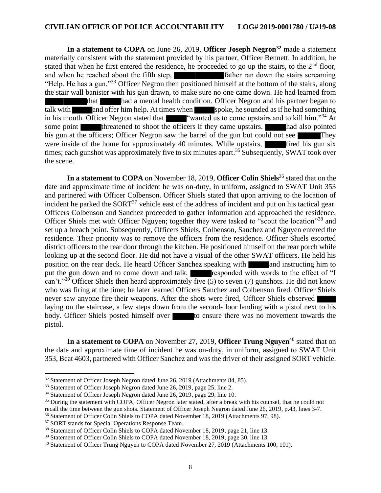**In a statement to COPA** on June 26, 2019, **Officer Joseph Negron<sup>32</sup>** made a statement materially consistent with the statement provided by his partner, Officer Bennett. In addition, he stated that when he first entered the residence, he proceeded to go up the stairs, to the  $2<sup>nd</sup>$  floor, and when he reached about the fifth step, father ran down the stairs screaming "Help. He has a gun."<sup>33</sup> Officer Negron then positioned himself at the bottom of the stairs, along the stair wall banister with his gun drawn, to make sure no one came down. He had learned from that had a mental health condition. Officer Negron and his partner began to talk with and offer him help. At times when spoke, he sounded as if he had something in his mouth. Officer Negron stated that "wanted us to come upstairs and to kill him."<sup>34</sup> At some point threatened to shoot the officers if they came upstairs. had also pointed his gun at the officers; Officer Negron saw the barrel of the gun but could not see were inside of the home for approximately 40 minutes. While upstairs, first fired his gun six times; each gunshot was approximately five to six minutes apart.<sup>35</sup> Subsequently, SWAT took over the scene.

In a statement to COPA on November 18, 2019, Officer Colin Shiels<sup>36</sup> stated that on the date and approximate time of incident he was on-duty, in uniform, assigned to SWAT Unit 353 and partnered with Officer Colbenson. Officer Shiels stated that upon arriving to the location of incident he parked the SORT<sup>37</sup> vehicle east of the address of incident and put on his tactical gear. Officers Colbenson and Sanchez proceeded to gather information and approached the residence. Officer Shiels met with Officer Nguyen; together they were tasked to "scout the location"<sup>38</sup> and set up a breach point. Subsequently, Officers Shiels, Colbenson, Sanchez and Nguyen entered the residence. Their priority was to remove the officers from the residence. Officer Shiels escorted district officers to the rear door through the kitchen. He positioned himself on the rear porch while looking up at the second floor. He did not have a visual of the other SWAT officers. He held his position on the rear deck. He heard Officer Sanchez speaking with and instructing him to put the gun down and to come down and talk. **responded with words to the effect of "I** can't."<sup>39</sup> Officer Shiels then heard approximately five (5) to seven (7) gunshots. He did not know who was firing at the time; he later learned Officers Sanchez and Colbenson fired. Officer Shiels never saw anyone fire their weapons. After the shots were fired, Officer Shiels observed laying on the staircase, a few steps down from the second-floor landing with a pistol next to his body. Officer Shiels posted himself over to ensure there was no movement towards the pistol.

**In a statement to COPA** on November 27, 2019, **Officer Trung Nguyen**<sup>40</sup> stated that on the date and approximate time of incident he was on-duty, in uniform, assigned to SWAT Unit 353, Beat 4603, partnered with Officer Sanchez and was the driver of their assigned SORT vehicle.

<sup>&</sup>lt;sup>32</sup> Statement of Officer Joseph Negron dated June 26, 2019 (Attachments 84, 85).

<sup>&</sup>lt;sup>33</sup> Statement of Officer Joseph Negron dated June 26, 2019, page 25, line 2.

<sup>34</sup> Statement of Officer Joseph Negron dated June 26, 2019, page 29, line 10.

<sup>&</sup>lt;sup>35</sup> During the statement with COPA, Officer Negron later stated, after a break with his counsel, that he could not

recall the time between the gun shots. Statement of Officer Joseph Negron dated June 26, 2019, p.43, lines 3-7.

<sup>36</sup> Statement of Officer Colin Shiels to COPA dated November 18, 2019 (Attachments 97, 98).

<sup>&</sup>lt;sup>37</sup> SORT stands for Special Operations Response Team.

<sup>&</sup>lt;sup>38</sup> Statement of Officer Colin Shiels to COPA dated November 18, 2019, page 21, line 13.

<sup>&</sup>lt;sup>39</sup> Statement of Officer Colin Shiels to COPA dated November 18, 2019, page 30, line 13.

<sup>&</sup>lt;sup>40</sup> Statement of Officer Trung Nguyen to COPA dated November 27, 2019 (Attachments 100, 101).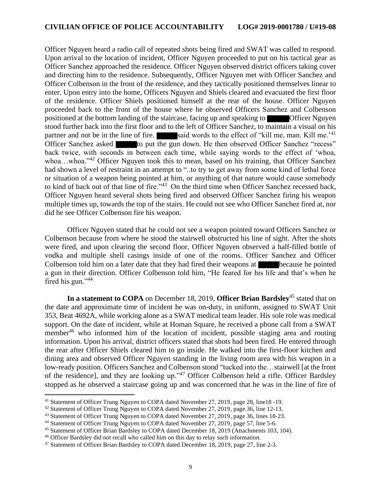Officer Nguyen heard a radio call of repeated shots being fired and SWAT was called to respond. Upon arrival to the location of incident, Officer Nguyen proceeded to put on his tactical gear as Officer Sanchez approached the residence. Officer Nguyen observed district officers taking cover and directing him to the residence. Subsequently, Officer Nguyen met with Officer Sanchez and Officer Colbenson in the front of the residence, and they tactically positioned themselves linear to enter. Upon entry into the home, Officers Nguyen and Shiels cleared and evacuated the first floor of the residence. Officer Shiels positioned himself at the rear of the house. Officer Nguyen proceeded back to the front of the house where he observed Officers Sanchez and Colbenson positioned at the bottom landing of the staircase, facing up and speaking to **Officer Nguyen** stood further back into the first floor and to the left of Officer Sanchez, to maintain a visual on his partner and not be in the line of fire. said words to the effect of "kill me, man. Kill me.'<sup>41</sup> Officer Sanchez asked to put the gun down. He then observed Officer Sanchez "recess" back twice, with seconds in between each time, while saying words to the effect of 'whoa, whoa...whoa."<sup>42</sup> Officer Nguyen took this to mean, based on his training, that Officer Sanchez had shown a level of restraint in an attempt to "..to try to get away from some kind of lethal force or situation of a weapon being pointed at him, or anything of that nature would cause somebody to kind of back out of that line of fire."<sup>43</sup> On the third time when Officer Sanchez recessed back, Officer Nguyen heard several shots being fired and observed Officer Sanchez firing his weapon multiple times up, towards the top of the stairs. He could not see who Officer Sanchez fired at, nor did he see Officer Colbenson fire his weapon.

Officer Nguyen stated that he could not see a weapon pointed toward Officers Sanchez or Colbenson because from where he stood the stairwell obstructed his line of sight. After the shots were fired, and upon clearing the second floor, Officer Nguyen observed a half-filled bottle of vodka and multiple shell casings inside of one of the rooms. Officer Sanchez and Officer Colbenson told him on a later date that they had fired their weapons at **because** he pointed a gun in their direction. Officer Colbenson told him, "He feared for his life and that's when he fired his gun." $44$ 

**In a statement to COPA** on December 18, 2019, **Officer Brian Bardsley**<sup>45</sup> stated that on the date and approximate time of incident he was on-duty, in uniform, assigned to SWAT Unit 353, Beat 4692A, while working alone as a SWAT medical team leader. His sole role was medical support. On the date of incident, while at Homan Square, he received a phone call from a SWAT member<sup>46</sup> who informed him of the location of incident, possible staging area and routing information. Upon his arrival, district officers stated that shots had been fired. He entered through the rear after Officer Shiels cleared him to go inside. He walked into the first-floor kitchen and dining area and observed Officer Nguyen standing in the living room area with his weapon in a low-ready position. Officers Sanchez and Colbenson stood "tucked into the…stairwell [at the front of the residence], and they are looking up."<sup>47</sup> Officer Colbenson held a rifle. Officer Bardsley stopped as he observed a staircase going up and was concerned that he was in the line of fire of

<sup>41</sup> Statement of Officer Trung Nguyen to COPA dated November 27, 2019, page 28, line18 -19.

<sup>42</sup> Statement of Officer Trung Nguyen to COPA dated November 27, 2019, page 36, line 12-13.

<sup>43</sup> Statement of Officer Trung Nguyen to COPA dated November 27, 2019, page 36, lines 18-23.

<sup>&</sup>lt;sup>44</sup> Statement of Officer Trung Nguyen to COPA dated November 27, 2019, page 57, line 5-6.

<sup>45</sup> Statement of Officer Brian Bardsley to COPA dated December 18, 2019 (Attachments 103, 104).

<sup>46</sup> Officer Bardsley did not recall who called him on this day to relay such information.

<sup>47</sup> Statement of Officer Brian Bardsley to COPA dated December 18, 2019, page 27, line 2-3.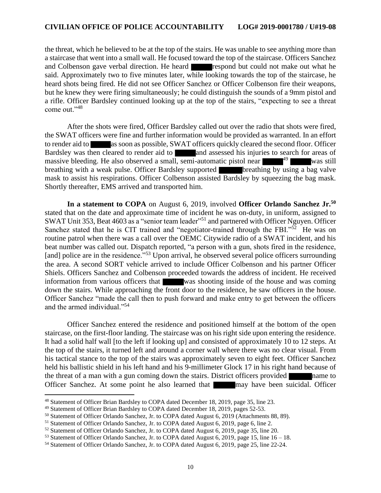the threat, which he believed to be at the top of the stairs. He was unable to see anything more than a staircase that went into a small wall. He focused toward the top of the staircase. Officers Sanchez and Colbenson gave verbal direction. He heard respond but could not make out what he said. Approximately two to five minutes later, while looking towards the top of the staircase, he heard shots being fired. He did not see Officer Sanchez or Officer Colbenson fire their weapons, but he knew they were firing simultaneously; he could distinguish the sounds of a 9mm pistol and a rifle. Officer Bardsley continued looking up at the top of the stairs, "expecting to see a threat come out."<sup>48</sup>

After the shots were fired, Officer Bardsley called out over the radio that shots were fired, the SWAT officers were fine and further information would be provided as warranted. In an effort to render aid to as soon as possible, SWAT officers quickly cleared the second floor. Officer Bardsley was then cleared to render aid to and assessed his injuries to search for areas of massive bleeding. He also observed a small, semi-automatic pistol near  $49$  was still breathing with a weak pulse. Officer Bardsley supported **breathing** by using a bag valve mask to assist his respirations. Officer Colbenson assisted Bardsley by squeezing the bag mask. Shortly thereafter, EMS arrived and transported him.

**In a statement to COPA** on August 6, 2019, involved **Officer Orlando Sanchez Jr.<sup>50</sup>** stated that on the date and approximate time of incident he was on-duty, in uniform, assigned to SWAT Unit 353, Beat 4603 as a "senior team leader"<sup>51</sup> and partnered with Officer Nguyen. Officer Sanchez stated that he is CIT trained and "negotiator-trained through the FBI."<sup>52</sup> He was on routine patrol when there was a call over the OEMC Citywide radio of a SWAT incident, and his beat number was called out. Dispatch reported, "a person with a gun, shots fired in the residence, [and] police are in the residence.<sup>"53</sup> Upon arrival, he observed several police officers surrounding the area. A second SORT vehicle arrived to include Officer Colbenson and his partner Officer Shiels. Officers Sanchez and Colbenson proceeded towards the address of incident. He received information from various officers that was shooting inside of the house and was coming down the stairs. While approaching the front door to the residence, he saw officers in the house. Officer Sanchez "made the call then to push forward and make entry to get between the officers and the armed individual."<sup>54</sup>

Officer Sanchez entered the residence and positioned himself at the bottom of the open staircase, on the first-floor landing. The staircase was on his right side upon entering the residence. It had a solid half wall [to the left if looking up] and consisted of approximately 10 to 12 steps. At the top of the stairs, it turned left and around a corner wall where there was no clear visual. From his tactical stance to the top of the stairs was approximately seven to eight feet. Officer Sanchez held his ballistic shield in his left hand and his 9-millimeter Glock 17 in his right hand because of the threat of a man with a gun coming down the stairs. District officers provided name to Officer Sanchez. At some point he also learned that may have been suicidal. Officer

<sup>48</sup> Statement of Officer Brian Bardsley to COPA dated December 18, 2019, page 35, line 23.

<sup>49</sup> Statement of Officer Brian Bardsley to COPA dated December 18, 2019, pages 52-53.

<sup>50</sup> Statement of Officer Orlando Sanchez, Jr. to COPA dated August 6, 2019 (Attachments 88, 89).

<sup>51</sup> Statement of Officer Orlando Sanchez, Jr. to COPA dated August 6, 2019, page 6, line 2.

<sup>52</sup> Statement of Officer Orlando Sanchez, Jr. to COPA dated August 6, 2019, page 35, line 20.

 $53$  Statement of Officer Orlando Sanchez, Jr. to COPA dated August 6, 2019, page 15, line  $16 - 18$ .

<sup>54</sup> Statement of Officer Orlando Sanchez, Jr. to COPA dated August 6, 2019, page 25, line 22-24.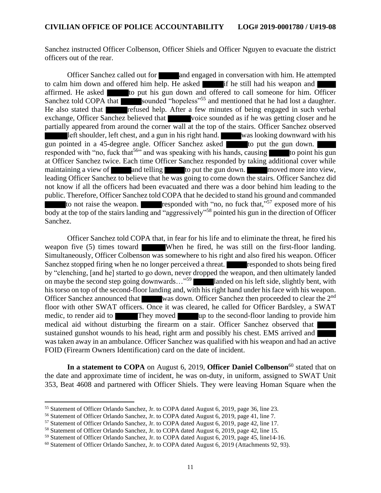Sanchez instructed Officer Colbenson, Officer Shiels and Officer Nguyen to evacuate the district officers out of the rear.

Officer Sanchez called out for and engaged in conversation with him. He attempted to calm him down and offered him help. He asked if he still had his weapon and affirmed. He asked to put his gun down and offered to call someone for him. Officer Sanchez told COPA that sounded "hopeless"<sup>55</sup> and mentioned that he had lost a daughter. He also stated that **refused help.** After a few minutes of being engaged in such verbal exchange, Officer Sanchez believed that voice sounded as if he was getting closer and he partially appeared from around the corner wall at the top of the stairs. Officer Sanchez observed left shoulder, left chest, and a gun in his right hand. was looking downward with his gun pointed in a 45-degree angle. Officer Sanchez asked to put the gun down. responded with "no, fuck that<sup>56</sup>" and was speaking with his hands, causing to point his gun at Officer Sanchez twice. Each time Officer Sanchez responded by taking additional cover while maintaining a view of and telling to put the gun down. The moved more into view, leading Officer Sanchez to believe that he was going to come down the stairs. Officer Sanchez did not know if all the officers had been evacuated and there was a door behind him leading to the public. Therefore, Officer Sanchez told COPA that he decided to stand his ground and commanded to not raise the weapon. **responded** with "no, no fuck that,"<sup>57</sup> exposed more of his body at the top of the stairs landing and "aggressively"<sup>58</sup> pointed his gun in the direction of Officer Sanchez.

Officer Sanchez told COPA that, in fear for his life and to eliminate the threat, he fired his weapon five (5) times toward When he fired, he was still on the first-floor landing. Simultaneously, Officer Colbenson was somewhere to his right and also fired his weapon. Officer Sanchez stopped firing when he no longer perceived a threat. **responded to shots being fired** by "clenching, [and he] started to go down, never dropped the weapon, and then ultimately landed on maybe the second step going downwards…"<sup>59</sup> landed on his left side, slightly bent, with his torso on top of the second-floor landing and, with his right hand under his face with his weapon. Officer Sanchez announced that was down. Officer Sanchez then proceeded to clear the 2<sup>nd</sup> floor with other SWAT officers. Once it was cleared, he called for Officer Bardsley, a SWAT medic, to render aid to They moved up to the second-floor landing to provide him medical aid without disturbing the firearm on a stair. Officer Sanchez observed that sustained gunshot wounds to his head, right arm and possibly his chest. EMS arrived and was taken away in an ambulance. Officer Sanchez was qualified with his weapon and had an active FOID (Firearm Owners Identification) card on the date of incident.

In a statement to COPA on August 6, 2019, Officer Daniel Colbenson<sup>60</sup> stated that on the date and approximate time of incident, he was on-duty, in uniform, assigned to SWAT Unit 353, Beat 4608 and partnered with Officer Shiels. They were leaving Homan Square when the

<sup>55</sup> Statement of Officer Orlando Sanchez, Jr. to COPA dated August 6, 2019, page 36, line 23.

<sup>56</sup> Statement of Officer Orlando Sanchez, Jr. to COPA dated August 6, 2019, page 41, line 7.

<sup>57</sup> Statement of Officer Orlando Sanchez, Jr. to COPA dated August 6, 2019, page 42, line 17.

<sup>58</sup> Statement of Officer Orlando Sanchez, Jr. to COPA dated August 6, 2019, page 42, line 15.

<sup>59</sup> Statement of Officer Orlando Sanchez, Jr. to COPA dated August 6, 2019, page 45, line14-16.

 $60$  Statement of Officer Orlando Sanchez, Jr. to COPA dated August 6, 2019 (Attachments 92, 93).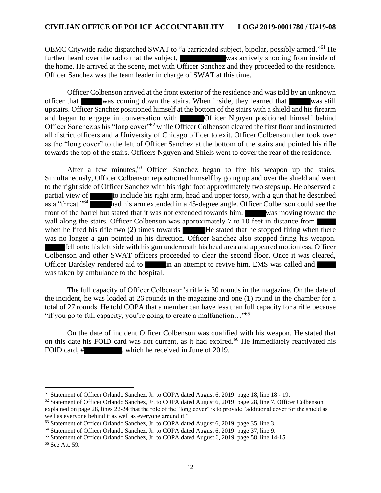OEMC Citywide radio dispatched SWAT to "a barricaded subject, bipolar, possibly armed."<sup>61</sup> He further heard over the radio that the subject, was actively shooting from inside of the home. He arrived at the scene, met with Officer Sanchez and they proceeded to the residence. Officer Sanchez was the team leader in charge of SWAT at this time.

Officer Colbenson arrived at the front exterior of the residence and was told by an unknown officer that was coming down the stairs. When inside, they learned that was still upstairs. Officer Sanchez positioned himself at the bottom of the stairs with a shield and his firearm and began to engage in conversation with Officer Nguyen positioned himself behind Officer Sanchez as his "long cover"<sup>62</sup> while Officer Colbenson cleared the first floor and instructed all district officers and a University of Chicago officer to exit. Officer Colbenson then took over as the "long cover" to the left of Officer Sanchez at the bottom of the stairs and pointed his rifle towards the top of the stairs. Officers Nguyen and Shiels went to cover the rear of the residence.

After a few minutes,  $63$  Officer Sanchez began to fire his weapon up the stairs. Simultaneously, Officer Colbenson repositioned himself by going up and over the shield and went to the right side of Officer Sanchez with his right foot approximately two steps up. He observed a partial view of **the include his right arm**, head and upper torso, with a gun that he described as a "threat."<sup>64</sup> had his arm extended in a 45-degree angle. Officer Colbenson could see the front of the barrel but stated that it was not extended towards him. was moving toward the wall along the stairs. Officer Colbenson was approximately 7 to 10 feet in distance from when he fired his rifle two  $(2)$  times towards  $\blacksquare$  He stated that he stopped firing when there was no longer a gun pointed in his direction. Officer Sanchez also stopped firing his weapon. fell onto his left side with his gun underneath his head area and appeared motionless. Officer Colbenson and other SWAT officers proceeded to clear the second floor. Once it was cleared, Officer Bardsley rendered aid to in an attempt to revive him. EMS was called and was taken by ambulance to the hospital.

The full capacity of Officer Colbenson's rifle is 30 rounds in the magazine. On the date of the incident, he was loaded at 26 rounds in the magazine and one (1) round in the chamber for a total of 27 rounds. He told COPA that a member can have less than full capacity for a rifle because "if you go to full capacity, you're going to create a malfunction..."<sup>65</sup>

On the date of incident Officer Colbenson was qualified with his weapon. He stated that on this date his FOID card was not current, as it had expired.<sup>66</sup> He immediately reactivated his FOID card, # , which he received in June of 2019.

<sup>61</sup> Statement of Officer Orlando Sanchez, Jr. to COPA dated August 6, 2019, page 18, line 18 - 19.

<sup>62</sup> Statement of Officer Orlando Sanchez, Jr. to COPA dated August 6, 2019, page 28, line 7. Officer Colbenson explained on page 28, lines 22-24 that the role of the "long cover" is to provide "additional cover for the shield as well as everyone behind it as well as everyone around it."

<sup>&</sup>lt;sup>63</sup> Statement of Officer Orlando Sanchez, Jr. to COPA dated August 6, 2019, page 35, line 3.

<sup>64</sup> Statement of Officer Orlando Sanchez, Jr. to COPA dated August 6, 2019, page 37, line 9.

<sup>65</sup> Statement of Officer Orlando Sanchez, Jr. to COPA dated August 6, 2019, page 58, line 14-15. <sup>66</sup> See Att. 59.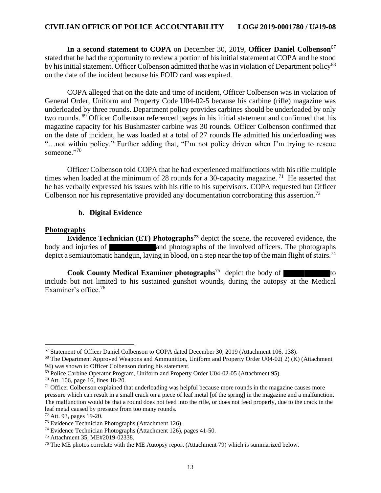In a second statement to COPA on December 30, 2019, Officer Daniel Colbenson<sup>67</sup> stated that he had the opportunity to review a portion of his initial statement at COPA and he stood by his initial statement. Officer Colbenson admitted that he was in violation of Department policy<sup>68</sup> on the date of the incident because his FOID card was expired.

COPA alleged that on the date and time of incident, Officer Colbenson was in violation of General Order, Uniform and Property Code U04-02-5 because his carbine (rifle) magazine was underloaded by three rounds. Department policy provides carbines should be underloaded by only two rounds. <sup>69</sup> Officer Colbenson referenced pages in his initial statement and confirmed that his magazine capacity for his Bushmaster carbine was 30 rounds. Officer Colbenson confirmed that on the date of incident, he was loaded at a total of 27 rounds He admitted his underloading was "…not within policy." Further adding that, "I'm not policy driven when I'm trying to rescue someone."70

Officer Colbenson told COPA that he had experienced malfunctions with his rifle multiple times when loaded at the minimum of 28 rounds for a 30-capacity magazine.<sup>71</sup> He asserted that he has verbally expressed his issues with his rifle to his supervisors. COPA requested but Officer Colbenson nor his representative provided any documentation corroborating this assertion.<sup>72</sup>

#### **b. Digital Evidence**

#### **Photographs**

**Evidence Technician (ET) Photographs<sup>73</sup>** depict the scene, the recovered evidence, the body and injuries of and photographs of the involved officers. The photographs depict a semiautomatic handgun, laying in blood, on a step near the top of the main flight of stairs.<sup>74</sup>

**Cook County Medical Examiner photographs**<sup>75</sup> depict the body of include but not limited to his sustained gunshot wounds, during the autopsy at the Medical Examiner's office.<sup>76</sup>

<sup>67</sup> Statement of Officer Daniel Colbenson to COPA dated December 30, 2019 (Attachment 106, 138).

<sup>68</sup> The Department Approved Weapons and Ammunition, Uniform and Property Order U04-02( 2) (K) (Attachment 94) was shown to Officer Colbenson during his statement.

<sup>69</sup> Police Carbine Operator Program, Uniform and Property Order U04-02-05 (Attachment 95).

<sup>70</sup> Att. 106, page 16, lines 18-20.

<sup>&</sup>lt;sup>71</sup> Officer Colbenson explained that underloading was helpful because more rounds in the magazine causes more pressure which can result in a small crack on a piece of leaf metal [of the spring] in the magazine and a malfunction. The malfunction would be that a round does not feed into the rifle, or does not feed properly, due to the crack in the leaf metal caused by pressure from too many rounds.

<sup>72</sup> Att. 93, pages 19-20.

<sup>73</sup> Evidence Technician Photographs (Attachment 126).

<sup>74</sup> Evidence Technician Photographs (Attachment 126), pages 41-50.

<sup>75</sup> Attachment 35, ME#2019-02338.

 $76$  The ME photos correlate with the ME Autopsy report (Attachment 79) which is summarized below.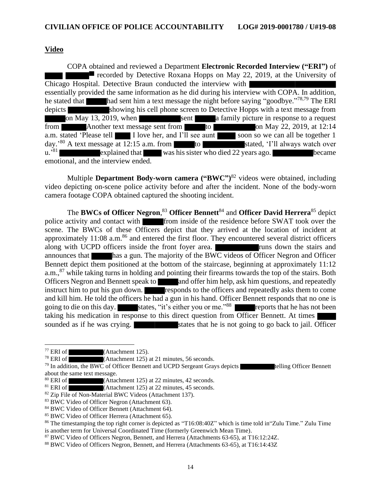#### **Video**

COPA obtained and reviewed a Department **Electronic Recorded Interview ("ERI")** of recorded by Detective Roxana Hopps on May 22, 2019, at the University of Chicago Hospital. Detective Braun conducted the interview with essentially provided the same information as he did during his interview with COPA. In addition, he stated that had sent him a text message the night before saying "goodbye."<sup>78,79</sup> The ERI depicts showing his cell phone screen to Detective Hopps with a text message from on May 13, 2019, when sent a family picture in response to a request from Another text message sent from to to on May 22, 2019, at 12:14 a.m. stated 'Please tell I love her, and I'll see aunt soon so we can all be together 1 day.<sup>'80</sup> A text message at 12:15 a.m. from to stated, 'I'll always watch over  $\mathbf{u}$ .  $\mathbf{I}^{81}$ explained that was his sister who died 22 years ago. emotional, and the interview ended.

Multiple **Department Body-worn camera ("BWC")** <sup>82</sup> videos were obtained, including video depicting on-scene police activity before and after the incident. None of the body-worn camera footage COPA obtained captured the shooting incident.

The **BWCs of Officer Negron**, <sup>83</sup> **Officer Bennett**<sup>84</sup> and **Officer David Herrera**<sup>85</sup> depict police activity and contact with from inside of the residence before SWAT took over the scene. The BWCs of these Officers depict that they arrived at the location of incident at approximately  $11:08$  a.m.<sup>86</sup> and entered the first floor. They encountered several district officers along with UCPD officers inside the front foyer area. **Figure 1.** The runs down the stairs and announces that has a gun. The majority of the BWC videos of Officer Negron and Officer Bennett depict them positioned at the bottom of the staircase, beginning at approximately 11:12 a.m.,<sup>87</sup> while taking turns in holding and pointing their firearms towards the top of the stairs. Both Officers Negron and Bennett speak to and offer him help, ask him questions, and repeatedly instruct him to put his gun down. responds to the officers and repeatedly asks them to come and kill him. He told the officers he had a gun in his hand. Officer Bennett responds that no one is going to die on this day. states, "it's either you or me."<sup>88</sup> reports that he has not been taking his medication in response to this direct question from Officer Bennett. At times sounded as if he was crying. states that he is not going to go back to jail. Officer

<sup>77</sup> ERI of (Attachment 125).

<sup>&</sup>lt;sup>78</sup> ERI of  $\overline{\hspace{1cm}}$  (Attachment 125) at 21 minutes, 56 seconds.

<sup>&</sup>lt;sup>79</sup> In addition, the BWC of Officer Bennett and UCPD Sergeant Grays depicts telling Officer Bennett about the same text message.

 $80$  ERI of (Attachment 125) at 22 minutes, 42 seconds.

 $81$  ERI of  $\overline{\hspace{1cm}}$  (Attachment 125) at 22 minutes, 45 seconds.

<sup>&</sup>lt;sup>82</sup> Zip File of Non-Material BWC Videos (Attachment 137).

<sup>83</sup> BWC Video of Officer Negron (Attachment 63).

<sup>84</sup> BWC Video of Officer Bennett (Attachment 64).

<sup>85</sup> BWC Video of Officer Herrera (Attachment 65).

<sup>86</sup> The timestamping the top right corner is depicted as "T16:08:40Z" which is time told in"Zulu Time." Zulu Time is another term for Universal Coordinated Time (formerly Greenwich Mean Time).

<sup>87</sup> BWC Video of Officers Negron, Bennett, and Herrera (Attachments 63-65), at T16:12:24Z.

<sup>88</sup> BWC Video of Officers Negron, Bennett, and Herrera (Attachments 63-65), at T16:14:43Z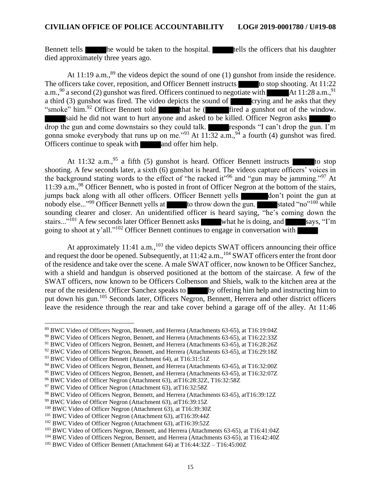Bennett tells he would be taken to the hospital. The tells the officers that his daughter died approximately three years ago.

At 11:19 a.m.,  $89$  the videos depict the sound of one (1) gunshot from inside the residence. The officers take cover, reposition, and Officer Bennett instructs to stop shooting. At 11:22 a.m.,  $90$  a second (2) gunshot was fired. Officers continued to negotiate with  $\blacksquare$  At 11:28 a.m., At 11:28 a.m.,  $91$ a third (3) gunshot was fired. The video depicts the sound of crying and he asks that they "smoke" him.<sup>92</sup> Officer Bennett told that he (**first** a gunshot out of the window. said he did not want to hurt anyone and asked to be killed. Officer Negron asks drop the gun and come downstairs so they could talk. responds "I can't drop the gun. I'm gonna smoke everybody that runs up on me."<sup>93</sup> At  $11:32$  a.m., <sup>94</sup> a fourth (4) gunshot was fired. Officers continue to speak with  $\Box$  and offer him help.

At 11:32 a.m.,  $95$  a fifth (5) gunshot is heard. Officer Bennett instructs to stop shooting. A few seconds later, a sixth (6) gunshot is heard. The videos capture officers' voices in the background stating words to the effect of "he racked it"<sup>96</sup> and "gun may be jamming."<sup>97</sup> At 11:39 a.m.,<sup>98</sup> Officer Bennett, who is posted in front of Officer Negron at the bottom of the stairs, jumps back along with all other officers. Officer Bennett yells **don't** point the gun at nobody else..."<sup>99</sup> Officer Bennett yells at to throw down the gun. stated "no"<sup>100</sup> while sounding clearer and closer. An unidentified officer is heard saying, "he's coming down the stairs..."<sup>101</sup> A few seconds later Officer Bennett asks what he is doing, and says, "I'm going to shoot at y'all."<sup>102</sup> Officer Bennett continues to engage in conversation with

At approximately 11:41  $a.m.,<sup>103</sup>$  the video depicts SWAT officers announcing their office and request the door be opened. Subsequently, at 11:42 a.m., <sup>104</sup> SWAT officers enter the front door of the residence and take over the scene. A male SWAT officer, now known to be Officer Sanchez, with a shield and handgun is observed positioned at the bottom of the staircase. A few of the SWAT officers, now known to be Officers Colbenson and Shiels, walk to the kitchen area at the rear of the residence. Officer Sanchez speaks to by offering him help and instructing him to put down his gun.<sup>105</sup> Seconds later, Officers Negron, Bennett, Herrera and other district officers leave the residence through the rear and take cover behind a garage off of the alley. At 11:46

<sup>89</sup> BWC Video of Officers Negron, Bennett, and Herrera (Attachments 63-65), at T16:19:04Z

<sup>90</sup> BWC Video of Officers Negron, Bennett, and Herrera (Attachments 63-65), at T16:22:33Z

<sup>91</sup> BWC Video of Officers Negron, Bennett, and Herrera (Attachments 63-65), at T16:28:26Z

<sup>&</sup>lt;sup>92</sup> BWC Video of Officers Negron, Bennett, and Herrera (Attachments 63-65), at T16:29:18Z

<sup>93</sup> BWC Video of Officer Bennett (Attachment 64), at T16:31:51Z

<sup>94</sup> BWC Video of Officers Negron, Bennett, and Herrera (Attachments 63-65), at T16:32:00Z

<sup>95</sup> BWC Video of Officers Negron, Bennett, and Herrera (Attachments 63-65), at T16:32:07Z

<sup>96</sup> BWC Video of Officer Negron (Attachment 63), atT16:28:32Z, T16:32:58Z

<sup>&</sup>lt;sup>97</sup> BWC Video of Officer Negron (Attachment 63), atT16:32:58Z

<sup>98</sup> BWC Video of Officers Negron, Bennett, and Herrera (Attachments 63-65), atT16:39:12Z

<sup>99</sup> BWC Video of Officer Negron (Attachment 63), atT16:39:15Z

<sup>100</sup> BWC Video of Officer Negron (Attachment 63), at T16:39:30Z

<sup>101</sup> BWC Video of Officer Negron (Attachment 63), atT16:39:44Z

<sup>&</sup>lt;sup>102</sup> BWC Video of Officer Negron (Attachment 63), atT16:39:52Z

<sup>103</sup> BWC Video of Officers Negron, Bennett, and Herrera (Attachments 63-65), at T16:41:04Z

<sup>104</sup> BWC Video of Officers Negron, Bennett, and Herrera (Attachments 63-65), at T16:42:40Z

<sup>105</sup> BWC Video of Officer Bennett (Attachment 64) at T16:44:32Z – T16:45:00Z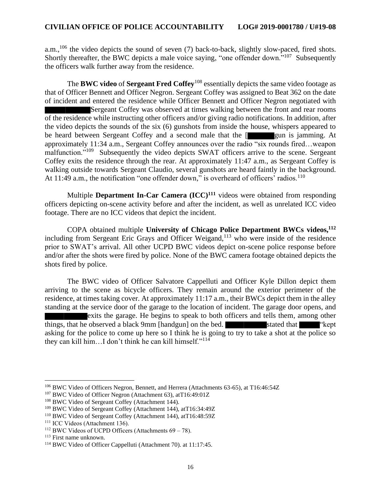a.m.,<sup>106</sup> the video depicts the sound of seven (7) back-to-back, slightly slow-paced, fired shots. Shortly thereafter, the BWC depicts a male voice saying, "one offender down."<sup>107</sup> Subsequently the officers walk further away from the residence.

The **BWC video** of **Sergeant Fred Coffey**<sup>108</sup> essentially depicts the same video footage as that of Officer Bennett and Officer Negron. Sergeant Coffey was assigned to Beat 362 on the date of incident and entered the residence while Officer Bennett and Officer Negron negotiated with Sergeant Coffey was observed at times walking between the front and rear rooms of the residence while instructing other officers and/or giving radio notifications. In addition, after the video depicts the sounds of the six (6) gunshots from inside the house, whispers appeared to be heard between Sergeant Coffey and a second male that the [ gun is jamming. At approximately 11:34 a.m., Sergeant Coffey announces over the radio "six rounds fired…weapon malfunction."<sup>109</sup> Subsequently the video depicts SWAT officers arrive to the scene. Sergeant Coffey exits the residence through the rear. At approximately 11:47 a.m., as Sergeant Coffey is walking outside towards Sergeant Claudio, several gunshots are heard faintly in the background. At 11:49 a.m., the notification "one offender down," is overheard of officers' radios.<sup>110</sup>

Multiple **Department In-Car Camera (ICC)<sup>111</sup>** videos were obtained from responding officers depicting on-scene activity before and after the incident, as well as unrelated ICC video footage. There are no ICC videos that depict the incident.

COPA obtained multiple **University of Chicago Police Department BWCs videos, 112** including from Sergeant Eric Grays and Officer Weigand,<sup>113</sup> who were inside of the residence prior to SWAT's arrival. All other UCPD BWC videos depict on-scene police response before and/or after the shots were fired by police. None of the BWC camera footage obtained depicts the shots fired by police.

The BWC video of Officer Salvatore Cappelluti and Officer Kyle Dillon depict them arriving to the scene as bicycle officers. They remain around the exterior perimeter of the residence, at times taking cover. At approximately 11:17 a.m., their BWCs depict them in the alley standing at the service door of the garage to the location of incident. The garage door opens, and exits the garage. He begins to speak to both officers and tells them, among other things, that he observed a black 9mm [handgun] on the bed. stated that "the "kept" asking for the police to come up here so I think he is going to try to take a shot at the police so they can kill him…I don't think he can kill himself."<sup>114</sup>

<sup>106</sup> BWC Video of Officers Negron, Bennett, and Herrera (Attachments 63-65), at T16:46:54Z

<sup>107</sup> BWC Video of Officer Negron (Attachment 63), atT16:49:01Z

<sup>&</sup>lt;sup>108</sup> BWC Video of Sergeant Coffey (Attachment 144).

<sup>109</sup> BWC Video of Sergeant Coffey (Attachment 144), atT16:34:49Z

<sup>110</sup> BWC Video of Sergeant Coffey (Attachment 144), atT16:48:59Z

<sup>&</sup>lt;sup>111</sup> ICC Videos (Attachment 136).

 $112$  BWC Videos of UCPD Officers (Attachments  $69 - 78$ ).

<sup>113</sup> First name unknown.

<sup>114</sup> BWC Video of Officer Cappelluti (Attachment 70). at 11:17:45.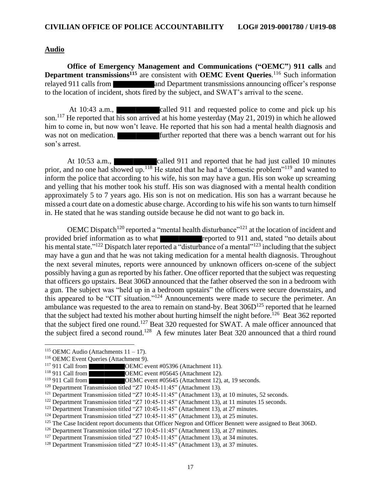#### **Audio**

**Office of Emergency Management and Communications ("OEMC"**) **911 calls** and **Department transmissions**<sup>115</sup> are consistent with **OEMC** Event Queries.<sup>116</sup> Such information relayed 911 calls from and Department transmissions announcing officer's response to the location of incident, shots fired by the subject, and SWAT's arrival to the scene.

At 10:43 a.m., called 911 and requested police to come and pick up his son.<sup>117</sup> He reported that his son arrived at his home yesterday (May 21, 2019) in which he allowed him to come in, but now won't leave. He reported that his son had a mental health diagnosis and was not on medication. **Further reported that there was a bench warrant out for his** son's arrest.

At 10:53 a.m., called 911 and reported that he had just called 10 minutes prior, and no one had showed up.<sup>118</sup> He stated that he had a "domestic problem"<sup>119</sup> and wanted to inform the police that according to his wife, his son may have a gun. His son woke up screaming and yelling that his mother took his stuff. His son was diagnosed with a mental health condition approximately 5 to 7 years ago. His son is not on medication. His son has a warrant because he missed a court date on a domestic abuse charge. According to his wife his son wants to turn himself in. He stated that he was standing outside because he did not want to go back in.

OEMC Dispatch<sup>120</sup> reported a "mental health disturbance"<sup>121</sup> at the location of incident and provided brief information as to what reported to 911 and, stated "no details about his mental state."<sup>122</sup> Dispatch later reported a "disturbance of a mental"<sup>123</sup> including that the subject may have a gun and that he was not taking medication for a mental health diagnosis. Throughout the next several minutes, reports were announced by unknown officers on-scene of the subject possibly having a gun as reported by his father. One officer reported that the subject was requesting that officers go upstairs. Beat 306D announced that the father observed the son in a bedroom with a gun. The subject was "held up in a bedroom upstairs" the officers were secure downstairs, and this appeared to be "CIT situation."<sup>124</sup> Announcements were made to secure the perimeter. An ambulance was requested to the area to remain on stand-by. Beat  $306D^{125}$  reported that he learned that the subject had texted his mother about hurting himself the night before.<sup>126</sup> Beat 362 reported that the subject fired one round.<sup>127</sup> Beat 320 requested for SWAT. A male officer announced that the subject fired a second round.<sup>128</sup> A few minutes later Beat 320 announced that a third round

<sup>&</sup>lt;sup>115</sup> OEMC Audio (Attachments  $11 - 17$ ).

<sup>&</sup>lt;sup>116</sup> OEMC Event Queries (Attachment 9).<br><sup>117</sup> 911 Call from **COEMC** ev

<sup>&</sup>lt;sup>117</sup> 911 Call from **OEMC** event #05396 (Attachment 11).<br><sup>118</sup> 911 Call from **OEMC** event #05645 (Attachment 12).

OEMC event #05645 (Attachment 12).

<sup>119 911</sup> Call from OEMC event #05645 (Attachment 12), at, 19 seconds.

<sup>120</sup> Department Transmission titled "Z7 10:45-11:45" (Attachment 13).

<sup>&</sup>lt;sup>121</sup> Department Transmission titled "Z7 10:45-11:45" (Attachment 13), at 10 minutes, 52 seconds.

<sup>&</sup>lt;sup>122</sup> Department Transmission titled "Z7 10:45-11:45" (Attachment 13), at 11 minutes 15 seconds.

<sup>123</sup> Department Transmission titled "Z7 10:45-11:45" (Attachment 13), at 27 minutes.

<sup>124</sup> Department Transmission titled "Z7 10:45-11:45" (Attachment 13), at 25 minutes.

<sup>&</sup>lt;sup>125</sup> The Case Incident report documents that Officer Negron and Officer Bennett were assigned to Beat 306D.

<sup>126</sup> Department Transmission titled "Z7 10:45-11:45" (Attachment 13), at 27 minutes.

<sup>127</sup> Department Transmission titled "Z7 10:45-11:45" (Attachment 13), at 34 minutes.

<sup>128</sup> Department Transmission titled "Z7 10:45-11:45" (Attachment 13), at 37 minutes.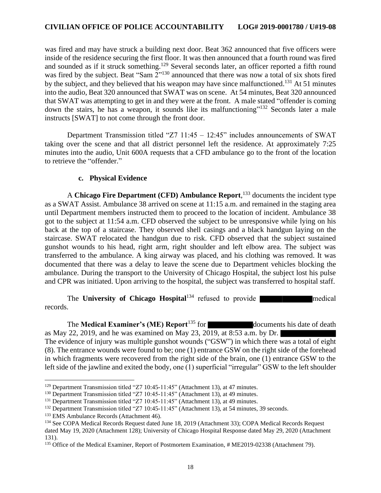was fired and may have struck a building next door. Beat 362 announced that five officers were inside of the residence securing the first floor. It was then announced that a fourth round was fired and sounded as if it struck something.<sup>129</sup> Several seconds later, an officer reported a fifth round was fired by the subject. Beat "Sam  $2^{130}$  announced that there was now a total of six shots fired by the subject, and they believed that his weapon may have since malfunctioned.<sup>131</sup> At 51 minutes into the audio, Beat 320 announced that SWAT was on scene. At 54 minutes, Beat 320 announced that SWAT was attempting to get in and they were at the front. A male stated "offender is coming down the stairs, he has a weapon, it sounds like its malfunctioning"<sup>132</sup> Seconds later a male instructs [SWAT] to not come through the front door.

Department Transmission titled "Z7 11:45 – 12:45" includes announcements of SWAT taking over the scene and that all district personnel left the residence. At approximately 7:25 minutes into the audio, Unit 600A requests that a CFD ambulance go to the front of the location to retrieve the "offender."

### **c. Physical Evidence**

A **Chicago Fire Department (CFD) Ambulance Report**, <sup>133</sup> documents the incident type as a SWAT Assist. Ambulance 38 arrived on scene at 11:15 a.m. and remained in the staging area until Department members instructed them to proceed to the location of incident. Ambulance 38 got to the subject at 11:54 a.m. CFD observed the subject to be unresponsive while lying on his back at the top of a staircase. They observed shell casings and a black handgun laying on the staircase. SWAT relocated the handgun due to risk. CFD observed that the subject sustained gunshot wounds to his head, right arm, right shoulder and left elbow area. The subject was transferred to the ambulance. A king airway was placed, and his clothing was removed. It was documented that there was a delay to leave the scene due to Department vehicles blocking the ambulance. During the transport to the University of Chicago Hospital, the subject lost his pulse and CPR was initiated. Upon arriving to the hospital, the subject was transferred to hospital staff.

The **University of Chicago Hospital**<sup>134</sup> refused to provide records.

The **Medical Examiner's (ME) Report**<sup>135</sup> for documents his date of death as May 22, 2019, and he was examined on May 23, 2019, at 8:53 a.m. by Dr. The evidence of injury was multiple gunshot wounds ("GSW") in which there was a total of eight (8). The entrance wounds were found to be; one (1) entrance GSW on the right side of the forehead in which fragments were recovered from the right side of the brain, one (1) entrance GSW to the left side of the jawline and exited the body, one (1) superficial "irregular" GSW to the left shoulder

<sup>129</sup> Department Transmission titled "Z7 10:45-11:45" (Attachment 13), at 47 minutes.

<sup>&</sup>lt;sup>130</sup> Department Transmission titled "Z7 10:45-11:45" (Attachment 13), at 49 minutes.

<sup>131</sup> Department Transmission titled "Z7 10:45-11:45" (Attachment 13), at 49 minutes.

<sup>132</sup> Department Transmission titled "Z7 10:45-11:45" (Attachment 13), at 54 minutes, 39 seconds.

<sup>&</sup>lt;sup>133</sup> EMS Ambulance Records (Attachment 46).

<sup>&</sup>lt;sup>134</sup> See COPA Medical Records Request dated June 18, 2019 (Attachment 33); COPA Medical Records Request dated May 19, 2020 (Attachment 128); University of Chicago Hospital Response dated May 29, 2020 (Attachment 131).

<sup>&</sup>lt;sup>135</sup> Office of the Medical Examiner, Report of Postmortem Examination, # ME2019-02338 (Attachment 79).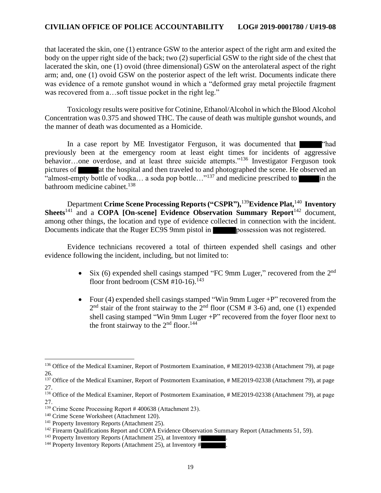that lacerated the skin, one (1) entrance GSW to the anterior aspect of the right arm and exited the body on the upper right side of the back; two (2) superficial GSW to the right side of the chest that lacerated the skin, one (1) ovoid (three dimensional) GSW on the anterolateral aspect of the right arm; and, one (1) ovoid GSW on the posterior aspect of the left wrist. Documents indicate there was evidence of a remote gunshot wound in which a "deformed gray metal projectile fragment was recovered from a...soft tissue pocket in the right leg."

Toxicology results were positive for Cotinine, Ethanol/Alcohol in which the Blood Alcohol Concentration was 0.375 and showed THC. The cause of death was multiple gunshot wounds, and the manner of death was documented as a Homicide.

In a case report by ME Investigator Ferguson, it was documented that **The Community** "had previously been at the emergency room at least eight times for incidents of aggressive behavior…one overdose, and at least three suicide attempts."<sup>136</sup> Investigator Ferguson took pictures of at the hospital and then traveled to and photographed the scene. He observed an "almost-empty bottle of vodka... a soda pop bottle..."<sup>137</sup> and medicine prescribed to in the bathroom medicine cabinet. 138

Department **Crime Scene Processing Reports ("CSPR"),** <sup>139</sup>**Evidence Plat,** 140  **Inventory Sheets**<sup>141</sup> and a **COPA [On-scene] Evidence Observation Summary Report**<sup>142</sup> document, among other things, the location and type of evidence collected in connection with the incident. Documents indicate that the Ruger EC9S 9mm pistol in **possession** was not registered.

Evidence technicians recovered a total of thirteen expended shell casings and other evidence following the incident, including, but not limited to:

- Six (6) expended shell casings stamped "FC 9mm Luger," recovered from the  $2<sup>nd</sup>$ floor front bedroom (CSM #10-16).<sup>143</sup>
- Four (4) expended shell casings stamped "Win 9mm Luger +P" recovered from the  $2<sup>nd</sup>$  stair of the front stairway to the  $2<sup>nd</sup>$  floor (CSM # 3-6) and, one (1) expended shell casing stamped "Win 9mm Luger +P" recovered from the foyer floor next to the front stairway to the  $2<sup>nd</sup>$  floor.<sup>144</sup>

<sup>&</sup>lt;sup>136</sup> Office of the Medical Examiner, Report of Postmortem Examination, # ME2019-02338 (Attachment 79), at page 26.

<sup>&</sup>lt;sup>137</sup> Office of the Medical Examiner, Report of Postmortem Examination, # ME2019-02338 (Attachment 79), at page 27.

<sup>&</sup>lt;sup>138</sup> Office of the Medical Examiner, Report of Postmortem Examination, # ME2019-02338 (Attachment 79), at page 27.

<sup>&</sup>lt;sup>139</sup> Crime Scene Processing Report # 400638 (Attachment 23).

<sup>140</sup> Crime Scene Worksheet (Attachment 120).

<sup>141</sup> Property Inventory Reports (Attachment 25).

<sup>&</sup>lt;sup>142</sup> Firearm Qualifications Report and COPA Evidence Observation Summary Report (Attachments 51, 59).

 $143$  Property Inventory Reports (Attachment 25), at Inventory #

<sup>&</sup>lt;sup>144</sup> Property Inventory Reports (Attachment 25), at Inventory #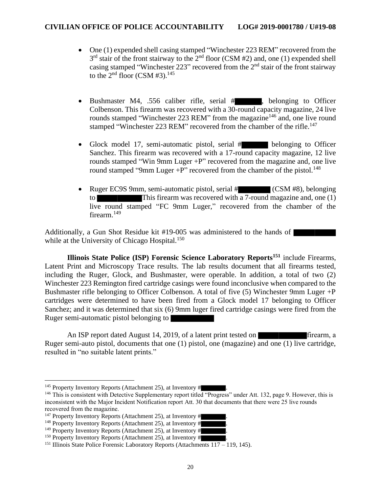- One (1) expended shell casing stamped "Winchester 223 REM" recovered from the  $3<sup>rd</sup>$  stair of the front stairway to the  $2<sup>nd</sup>$  floor (CSM #2) and, one (1) expended shell casing stamped "Winchester 223" recovered from the  $2<sup>nd</sup>$  stair of the front stairway to the  $2<sup>nd</sup>$  floor (CSM #3).<sup>145</sup>
- Bushmaster M4, .556 caliber rifle, serial # , belonging to Officer Colbenson. This firearm was recovered with a 30-round capacity magazine, 24 live rounds stamped "Winchester 223 REM" from the magazine<sup>146</sup> and, one live round stamped "Winchester 223 REM" recovered from the chamber of the rifle.<sup>147</sup>
- Glock model 17, semi-automatic pistol, serial # belonging to Officer Sanchez. This firearm was recovered with a 17-round capacity magazine, 12 live rounds stamped "Win 9mm Luger +P" recovered from the magazine and, one live round stamped "9mm Luger  $+P$ " recovered from the chamber of the pistol.<sup>148</sup>
- Ruger EC9S 9mm, semi-automatic pistol, serial # (CSM #8), belonging to This firearm was recovered with a 7-round magazine and, one (1) live round stamped "FC 9mm Luger," recovered from the chamber of the firearm.<sup>149</sup>

Additionally, a Gun Shot Residue kit #19-005 was administered to the hands of while at the University of Chicago Hospital.<sup>150</sup>

**Illinois State Police (ISP) Forensic Science Laboratory Reports<sup>151</sup>** include Firearms, Latent Print and Microscopy Trace results. The lab results document that all firearms tested, including the Ruger, Glock, and Bushmaster, were operable. In addition, a total of two (2) Winchester 223 Remington fired cartridge casings were found inconclusive when compared to the Bushmaster rifle belonging to Officer Colbenson. A total of five (5) Winchester 9mm Luger +P cartridges were determined to have been fired from a Glock model 17 belonging to Officer Sanchez; and it was determined that six (6) 9mm luger fired cartridge casings were fired from the Ruger semi-automatic pistol belonging to

An ISP report dated August 14, 2019, of a latent print tested on firearm, a Ruger semi-auto pistol, documents that one (1) pistol, one (magazine) and one (1) live cartridge, resulted in "no suitable latent prints."

<sup>&</sup>lt;sup>145</sup> Property Inventory Reports (Attachment 25), at Inventory #

<sup>&</sup>lt;sup>146</sup> This is consistent with Detective Supplementary report titled "Progress" under Att. 132, page 9. However, this is inconsistent with the Major Incident Notification report Att. 30 that documents that there were 25 live rounds recovered from the magazine.

<sup>&</sup>lt;sup>147</sup> Property Inventory Reports (Attachment 25), at Inventory #

 $148$  Property Inventory Reports (Attachment 25), at Inventory #

 $149$  Property Inventory Reports (Attachment 25), at Inventory #

 $150$  Property Inventory Reports (Attachment 25), at Inventory #

<sup>&</sup>lt;sup>151</sup> Illinois State Police Forensic Laboratory Reports (Attachments  $117 - 119$ , 145).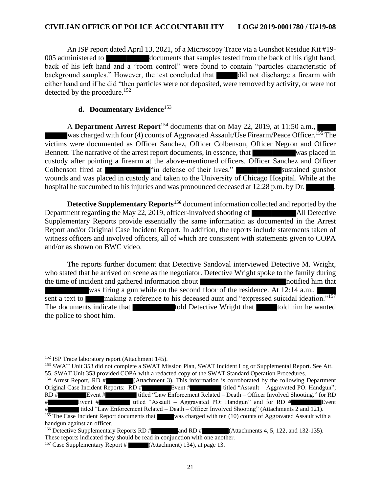An ISP report dated April 13, 2021, of a Microscopy Trace via a Gunshot Residue Kit #19- 005 administered to documents that samples tested from the back of his right hand, back of his left hand and a "room control" were found to contain "particles characteristic of background samples." However, the test concluded that did not discharge a firearm with either hand and if he did "then particles were not deposited, were removed by activity, or were not detected by the procedure.<sup>152</sup>

#### **d. Documentary Evidence**<sup>153</sup>

A **Department Arrest Report**<sup>154</sup> documents that on May 22, 2019, at 11:50 a.m., was charged with four (4) counts of Aggravated Assault/Use Firearm/Peace Officer.<sup>155</sup> The victims were documented as Officer Sanchez, Officer Colbenson, Officer Negron and Officer Bennett. The narrative of the arrest report documents, in essence, that was placed in custody after pointing a firearm at the above-mentioned officers. Officer Sanchez and Officer Colbenson fired at "in defense of their lives." Sustained gunshot wounds and was placed in custody and taken to the University of Chicago Hospital. While at the hospital he succumbed to his injuries and was pronounced deceased at 12:28 p.m. by Dr.

**Detective Supplementary Reports<sup>156</sup>** document information collected and reported by the Department regarding the May 22, 2019, officer-involved shooting of All Detective Supplementary Reports provide essentially the same information as documented in the Arrest Report and/or Original Case Incident Report. In addition, the reports include statements taken of witness officers and involved officers, all of which are consistent with statements given to COPA and/or as shown on BWC video.

The reports further document that Detective Sandoval interviewed Detective M. Wright, who stated that he arrived on scene as the negotiator. Detective Wright spoke to the family during the time of incident and gathered information about notified him that notified him that was firing a gun while on the second floor of the residence. At 12:14 a.m., sent a text to **making a reference to his deceased aunt and "expressed suicidal ideation.**"<sup>157</sup> The documents indicate that told Detective Wright that told him he wanted the police to shoot him.

<sup>153</sup> SWAT Unit 353 did not complete a SWAT Mission Plan, SWAT Incident Log or Supplemental Report. See Att. 55. SWAT Unit 353 provided COPA with a redacted copy of the SWAT Standard Operation Procedures.

<sup>154</sup> Arrest Report, RD # (Attachment 3). This information is corroborated by the following Department Original Case Incident Reports: RD # Event # titled "Assault – Aggravated PO: Handgun"; RD  $#$  Event  $#$  titled "Law Enforcement Related – Death – Officer Involved Shooting." for RD Event  $\#$  titled "Assault – Aggravated PO: Handgun" and for RD  $\#$  Event # titled "Law Enforcement Related – Death – Officer Involved Shooting" (Attachments 2 and 121).

<sup>&</sup>lt;sup>152</sup> ISP Trace laboratory report (Attachment 145).

<sup>&</sup>lt;sup>155</sup> The Case Incident Report documents that was charged with ten  $(10)$  counts of Aggravated Assault with a handgun against an officer.

<sup>&</sup>lt;sup>156</sup> Detective Supplementary Reports RD # and RD # (Attachments 4, 5, 122, and 132-135). These reports indicated they should be read in conjunction with one another.

<sup>&</sup>lt;sup>157</sup> Case Supplementary Report # (Attachment) 134), at page 13.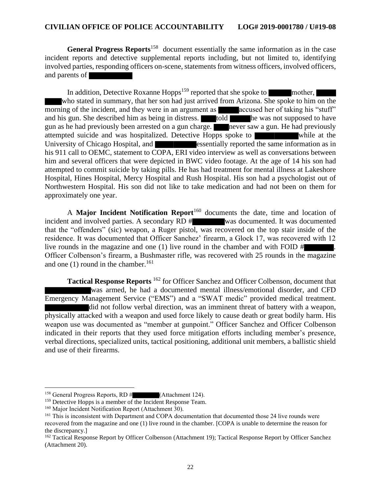**General Progress Reports**<sup>158</sup> document essentially the same information as in the case incident reports and detective supplemental reports including, but not limited to, identifying involved parties, responding officers on-scene, statements from witness officers, involved officers, and parents of

In addition, Detective Roxanne Hopps<sup>159</sup> reported that she spoke to mother, who stated in summary, that her son had just arrived from Arizona. She spoke to him on the morning of the incident, and they were in an argument as **accused here** of taking his "stuff" and his gun. She described him as being in distress. told he was not supposed to have gun as he had previously been arrested on a gun charge. The never saw a gun. He had previously attempted suicide and was hospitalized. Detective Hopps spoke to while at the University of Chicago Hospital, and **Example 2018** essentially reported the same information as in his 911 call to OEMC, statement to COPA, ERI video interview as well as conversations between him and several officers that were depicted in BWC video footage. At the age of 14 his son had attempted to commit suicide by taking pills. He has had treatment for mental illness at Lakeshore Hospital, Hines Hospital, Mercy Hospital and Rush Hospital. His son had a psychologist out of Northwestern Hospital. His son did not like to take medication and had not been on them for approximately one year.

A **Major Incident Notification Report**<sup>160</sup> documents the date, time and location of incident and involved parties. A secondary RD # was documented. It was documented that the "offenders" (sic) weapon, a Ruger pistol, was recovered on the top stair inside of the residence. It was documented that Officer Sanchez' firearm, a Glock 17, was recovered with 12 live rounds in the magazine and one  $(1)$  live round in the chamber and with FOID # Officer Colbenson's firearm, a Bushmaster rifle, was recovered with 25 rounds in the magazine and one  $(1)$  round in the chamber.<sup>161</sup>

**Tactical Response Reports** <sup>162</sup> for Officer Sanchez and Officer Colbenson, document that was armed, he had a documented mental illness/emotional disorder, and CFD Emergency Management Service ("EMS") and a "SWAT medic" provided medical treatment. did not follow verbal direction, was an imminent threat of battery with a weapon, physically attacked with a weapon and used force likely to cause death or great bodily harm. His weapon use was documented as "member at gunpoint." Officer Sanchez and Officer Colbenson indicated in their reports that they used force mitigation efforts including member's presence, verbal directions, specialized units, tactical positioning, additional unit members, a ballistic shield and use of their firearms.

<sup>&</sup>lt;sup>158</sup> General Progress Reports, RD  $#$  (Attachment 124).

<sup>&</sup>lt;sup>159</sup> Detective Hopps is a member of the Incident Response Team.

<sup>&</sup>lt;sup>160</sup> Major Incident Notification Report (Attachment 30).

<sup>&</sup>lt;sup>161</sup> This is inconsistent with Department and COPA documentation that documented those 24 live rounds were recovered from the magazine and one (1) live round in the chamber. [COPA is unable to determine the reason for the discrepancy.]

<sup>&</sup>lt;sup>162</sup> Tactical Response Report by Officer Colbenson (Attachment 19); Tactical Response Report by Officer Sanchez (Attachment 20).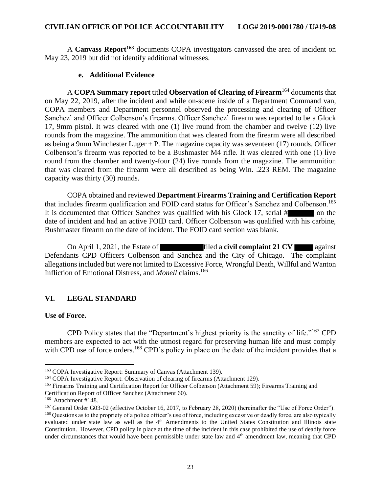A **Canvass Report<sup>163</sup>** documents COPA investigators canvassed the area of incident on May 23, 2019 but did not identify additional witnesses.

#### **e. Additional Evidence**

A **COPA Summary report** titled **Observation of Clearing of Firearm**<sup>164</sup> documents that on May 22, 2019, after the incident and while on-scene inside of a Department Command van, COPA members and Department personnel observed the processing and clearing of Officer Sanchez' and Officer Colbenson's firearms. Officer Sanchez' firearm was reported to be a Glock 17, 9mm pistol. It was cleared with one (1) live round from the chamber and twelve (12) live rounds from the magazine. The ammunition that was cleared from the firearm were all described as being a 9mm Winchester Luger  $+P$ . The magazine capacity was seventeen (17) rounds. Officer Colbenson's firearm was reported to be a Bushmaster M4 rifle. It was cleared with one (1) live round from the chamber and twenty-four (24) live rounds from the magazine. The ammunition that was cleared from the firearm were all described as being Win. .223 REM. The magazine capacity was thirty (30) rounds.

COPA obtained and reviewed **Department Firearms Training and Certification Report** that includes firearm qualification and FOID card status for Officer's Sanchez and Colbenson.<sup>165</sup> It is documented that Officer Sanchez was qualified with his Glock 17, serial # on the date of incident and had an active FOID card. Officer Colbenson was qualified with his carbine, Bushmaster firearm on the date of incident. The FOID card section was blank.

On April 1, 2021, the Estate of filed a **civil complaint 21 CV** against Defendants CPD Officers Colbenson and Sanchez and the City of Chicago. The complaint allegations included but were not limited to Excessive Force, Wrongful Death, Willful and Wanton Infliction of Emotional Distress, and *Monell* claims.<sup>166</sup>

## **VI. LEGAL STANDARD**

#### **Use of Force.**

CPD Policy states that the "Department's highest priority is the sanctity of life."<sup>167</sup> CPD members are expected to act with the utmost regard for preserving human life and must comply with CPD use of force orders.<sup>168</sup> CPD's policy in place on the date of the incident provides that a

<sup>163</sup> COPA Investigative Report: Summary of Canvas (Attachment 139).

<sup>&</sup>lt;sup>164</sup> COPA Investigative Report: Observation of clearing of firearms (Attachment 129).

<sup>165</sup> Firearms Training and Certification Report for Officer Colbenson (Attachment 59); Firearms Training and

Certification Report of Officer Sanchez (Attachment 60).

<sup>166</sup> Attachment #148.

<sup>&</sup>lt;sup>167</sup> General Order G03-02 (effective October 16, 2017, to February 28, 2020) (hereinafter the "Use of Force Order").

<sup>&</sup>lt;sup>168</sup> Questions as to the propriety of a police officer's use of force, including excessive or deadly force, are also typically evaluated under state law as well as the 4<sup>th</sup> Amendments to the United States Constitution and Illinois state Constitution. However, CPD policy in place at the time of the incident in this case prohibited the use of deadly force under circumstances that would have been permissible under state law and  $4<sup>th</sup>$  amendment law, meaning that CPD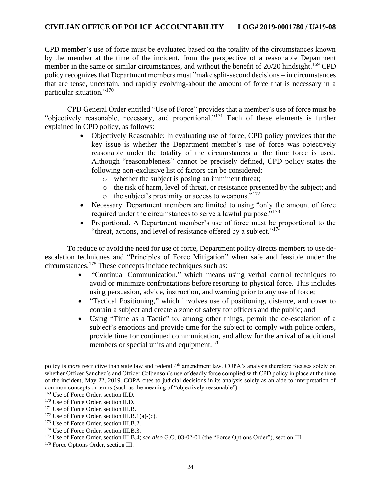CPD member's use of force must be evaluated based on the totality of the circumstances known by the member at the time of the incident, from the perspective of a reasonable Department member in the same or similar circumstances, and without the benefit of  $20/20$  hindsight.<sup>169</sup> CPD policy recognizes that Department members must "make split-second decisions – in circumstances that are tense, uncertain, and rapidly evolving-about the amount of force that is necessary in a particular situation."<sup>170</sup>

CPD General Order entitled "Use of Force" provides that a member's use of force must be "objectively reasonable, necessary, and proportional."<sup>171</sup> Each of these elements is further explained in CPD policy, as follows:

- Objectively Reasonable: In evaluating use of force, CPD policy provides that the key issue is whether the Department member's use of force was objectively reasonable under the totality of the circumstances at the time force is used. Although "reasonableness" cannot be precisely defined, CPD policy states the following non-exclusive list of factors can be considered:
	- o whether the subject is posing an imminent threat;
	- o the risk of harm, level of threat, or resistance presented by the subject; and
	- $\circ$  the subject's proximity or access to weapons."<sup>172</sup>
- Necessary. Department members are limited to using "only the amount of force" required under the circumstances to serve a lawful purpose."<sup>173</sup>
- Proportional. A Department member's use of force must be proportional to the "threat, actions, and level of resistance offered by a subject."<sup>174</sup>

To reduce or avoid the need for use of force, Department policy directs members to use deescalation techniques and "Principles of Force Mitigation" when safe and feasible under the circumstances.<sup>175</sup> These concepts include techniques such as:

- "Continual Communication," which means using verbal control techniques to avoid or minimize confrontations before resorting to physical force. This includes using persuasion, advice, instruction, and warning prior to any use of force;
- "Tactical Positioning," which involves use of positioning, distance, and cover to contain a subject and create a zone of safety for officers and the public; and
- Using "Time as a Tactic" to, among other things, permit the de-escalation of a subject's emotions and provide time for the subject to comply with police orders, provide time for continued communication, and allow for the arrival of additional members or special units and equipment.<sup>176</sup>

policy is *more* restrictive than state law and federal 4<sup>th</sup> amendment law. COPA's analysis therefore focuses solely on whether Officer Sanchez's and Officer Colbenson's use of deadly force complied with CPD policy in place at the time of the incident, May 22, 2019. COPA cites to judicial decisions in its analysis solely as an aide to interpretation of common concepts or terms (such as the meaning of "objectively reasonable").

<sup>169</sup> Use of Force Order, section II.D.

<sup>&</sup>lt;sup>170</sup> Use of Force Order, section II.D.

<sup>&</sup>lt;sup>171</sup> Use of Force Order, section III.B.

 $172$  Use of Force Order, section III.B.1(a)-(c).

<sup>&</sup>lt;sup>173</sup> Use of Force Order, section III.B.2.

<sup>&</sup>lt;sup>174</sup> Use of Force Order, section III.B.3.

<sup>175</sup> Use of Force Order, section III.B.4; *see also* G.O. 03-02-01 (the "Force Options Order"), section III.

<sup>&</sup>lt;sup>176</sup> Force Options Order, section III.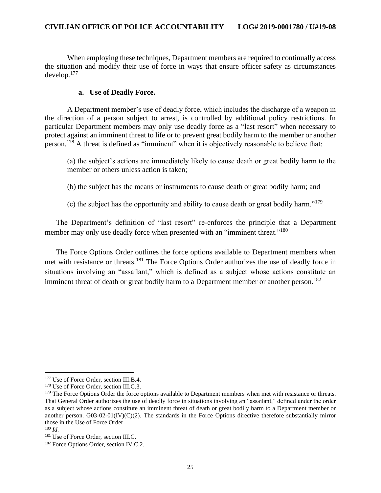When employing these techniques, Department members are required to continually access the situation and modify their use of force in ways that ensure officer safety as circumstances develop.<sup>177</sup>

### **a. Use of Deadly Force.**

A Department member's use of deadly force, which includes the discharge of a weapon in the direction of a person subject to arrest, is controlled by additional policy restrictions. In particular Department members may only use deadly force as a "last resort" when necessary to protect against an imminent threat to life or to prevent great bodily harm to the member or another person.<sup>178</sup> A threat is defined as "imminent" when it is objectively reasonable to believe that:

(a) the subject's actions are immediately likely to cause death or great bodily harm to the member or others unless action is taken;

(b) the subject has the means or instruments to cause death or great bodily harm; and

(c) the subject has the opportunity and ability to cause death or great bodily harm." $179$ 

The Department's definition of "last resort" re-enforces the principle that a Department member may only use deadly force when presented with an "imminent threat."<sup>180</sup>

The Force Options Order outlines the force options available to Department members when met with resistance or threats.<sup>181</sup> The Force Options Order authorizes the use of deadly force in situations involving an "assailant," which is defined as a subject whose actions constitute an imminent threat of death or great bodily harm to a Department member or another person.<sup>182</sup>

<sup>&</sup>lt;sup>177</sup> Use of Force Order, section III.B.4.

<sup>&</sup>lt;sup>178</sup> Use of Force Order, section III.C.3.

<sup>&</sup>lt;sup>179</sup> The Force Options Order the force options available to Department members when met with resistance or threats. That General Order authorizes the use of deadly force in situations involving an "assailant," defined under the order as a subject whose actions constitute an imminent threat of death or great bodily harm to a Department member or another person. G03-02-01(IV)(C)(2). The standards in the Force Options directive therefore substantially mirror those in the Use of Force Order.

<sup>180</sup> *Id.*

<sup>&</sup>lt;sup>181</sup> Use of Force Order, section III.C.

<sup>182</sup> Force Options Order, section IV.C.2.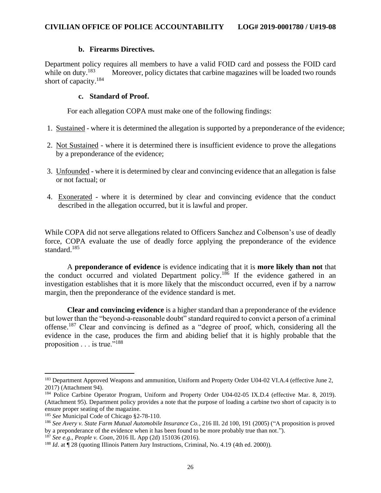### **b. Firearms Directives.**

Department policy requires all members to have a valid FOID card and possess the FOID card while on duty.<sup>183</sup> Moreover, policy dictates that carbine magazines will be loaded two rounds short of capacity.<sup>184</sup>

### **c. Standard of Proof.**

For each allegation COPA must make one of the following findings:

- 1. Sustained where it is determined the allegation is supported by a preponderance of the evidence;
- 2. Not Sustained where it is determined there is insufficient evidence to prove the allegations by a preponderance of the evidence;
- 3. Unfounded where it is determined by clear and convincing evidence that an allegation is false or not factual; or
- 4. Exonerated where it is determined by clear and convincing evidence that the conduct described in the allegation occurred, but it is lawful and proper.

While COPA did not serve allegations related to Officers Sanchez and Colbenson's use of deadly force, COPA evaluate the use of deadly force applying the preponderance of the evidence standard.<sup>185</sup>

A **preponderance of evidence** is evidence indicating that it is **more likely than not** that the conduct occurred and violated Department policy.<sup>186</sup> If the evidence gathered in an investigation establishes that it is more likely that the misconduct occurred, even if by a narrow margin, then the preponderance of the evidence standard is met.

**Clear and convincing evidence** is a higher standard than a preponderance of the evidence but lower than the "beyond-a-reasonable doubt" standard required to convict a person of a criminal offense.<sup>187</sup> Clear and convincing is defined as a "degree of proof, which, considering all the evidence in the case, produces the firm and abiding belief that it is highly probable that the proposition . . . is true."<sup>188</sup>

<sup>&</sup>lt;sup>183</sup> Department Approved Weapons and ammunition, Uniform and Property Order U04-02 VI.A.4 (effective June 2, 2017) (Attachment 94).

<sup>&</sup>lt;sup>184</sup> Police Carbine Operator Program, Uniform and Property Order U04-02-05 IX.D.4 (effective Mar. 8, 2019). (Attachment 95). Department policy provides a note that the purpose of loading a carbine two short of capacity is to ensure proper seating of the magazine.

<sup>185</sup> *See* Municipal Code of Chicago §2-78-110.

<sup>186</sup> *See Avery v. State Farm Mutual Automobile Insurance Co.*, 216 Ill. 2d 100, 191 (2005) ("A proposition is proved by a preponderance of the evidence when it has been found to be more probably true than not.").

<sup>187</sup> *See e.g.*, *People v. Coan*, 2016 IL App (2d) 151036 (2016).

<sup>&</sup>lt;sup>188</sup> *Id.* at  $\P$  28 (quoting Illinois Pattern Jury Instructions, Criminal, No. 4.19 (4th ed. 2000)).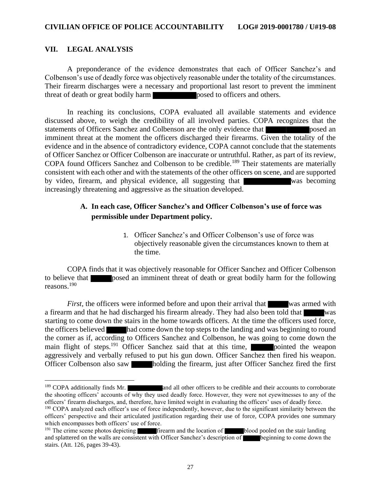#### **VII. LEGAL ANALYSIS**

A preponderance of the evidence demonstrates that each of Officer Sanchez's and Colbenson's use of deadly force was objectively reasonable under the totality of the circumstances. Their firearm discharges were a necessary and proportional last resort to prevent the imminent threat of death or great bodily harm posed to officers and others.

In reaching its conclusions, COPA evaluated all available statements and evidence discussed above, to weigh the credibility of all involved parties. COPA recognizes that the statements of Officers Sanchez and Colbenson are the only evidence that **posed** an imminent threat at the moment the officers discharged their firearms. Given the totality of the evidence and in the absence of contradictory evidence, COPA cannot conclude that the statements of Officer Sanchez or Officer Colbenson are inaccurate or untruthful. Rather, as part of its review, COPA found Officers Sanchez and Colbenson to be credible.<sup>189</sup> Their statements are materially consistent with each other and with the statements of the other officers on scene, and are supported by video, firearm, and physical evidence, all suggesting that was becoming increasingly threatening and aggressive as the situation developed.

# **A. In each case, Officer Sanchez's and Officer Colbenson's use of force was permissible under Department policy.**

1. Officer Sanchez's and Officer Colbenson's use of force was objectively reasonable given the circumstances known to them at the time.

COPA finds that it was objectively reasonable for Officer Sanchez and Officer Colbenson to believe that posed an imminent threat of death or great bodily harm for the following reasons.<sup>190</sup>

*First,* the officers were informed before and upon their arrival that was armed with a firearm and that he had discharged his firearm already. They had also been told that was starting to come down the stairs in the home towards officers. At the time the officers used force, the officers believed had come down the top steps to the landing and was beginning to round the corner as if, according to Officers Sanchez and Colbenson, he was going to come down the main flight of steps.<sup>191</sup> Officer Sanchez said that at this time, pointed the weapon aggressively and verbally refused to put his gun down. Officer Sanchez then fired his weapon. Officer Colbenson also saw holding the firearm, just after Officer Sanchez fired the first

<sup>&</sup>lt;sup>189</sup> COPA additionally finds Mr. **and all other officers to be credible and their accounts to corroborate** the shooting officers' accounts of why they used deadly force. However, they were not eyewitnesses to any of the officers' firearm discharges, and, therefore, have limited weight in evaluating the officers' uses of deadly force.

<sup>&</sup>lt;sup>190</sup> COPA analyzed each officer's use of force independently, however, due to the significant similarity between the officers' perspective and their articulated justification regarding their use of force, COPA provides one summary which encompasses both officers' use of force.

<sup>&</sup>lt;sup>191</sup> The crime scene photos depicting firearm and the location of blood pooled on the stair landing and splattered on the walls are consistent with Officer Sanchez's description of beginning to come down the stairs. (Att. 126, pages 39-43).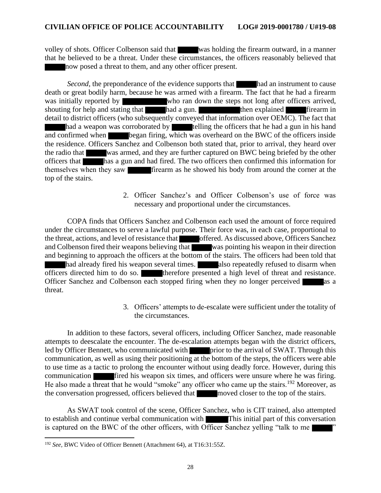volley of shots. Officer Colbenson said that was holding the firearm outward, in a manner that he believed to be a threat. Under these circumstances, the officers reasonably believed that now posed a threat to them, and any other officer present.

*Second*, the preponderance of the evidence supports that had an instrument to cause death or great bodily harm, because he was armed with a firearm. The fact that he had a firearm was initially reported by who ran down the steps not long after officers arrived, shouting for help and stating that had a gun. then explained firearm in detail to district officers (who subsequently conveyed that information over OEMC). The fact that had a weapon was corroborated by telling the officers that he had a gun in his hand and confirmed when began firing, which was overheard on the BWC of the officers inside the residence. Officers Sanchez and Colbenson both stated that, prior to arrival, they heard over the radio that was armed, and they are further captured on BWC being briefed by the other officers that has a gun and had fired. The two officers then confirmed this information for themselves when they saw firearm as he showed his body from around the corner at the top of the stairs.

> 2. Officer Sanchez's and Officer Colbenson's use of force was necessary and proportional under the circumstances.

COPA finds that Officers Sanchez and Colbenson each used the amount of force required under the circumstances to serve a lawful purpose. Their force was, in each case, proportional to the threat, actions, and level of resistance that offered. As discussed above, Officers Sanchez and Colbenson fired their weapons believing that was pointing his weapon in their direction and beginning to approach the officers at the bottom of the stairs. The officers had been told that had already fired his weapon several times. also repeatedly refused to disarm when  $\overline{\text{officers}}$  directed him to do so. therefore presented a high level of threat and resistance. Officer Sanchez and Colbenson each stopped firing when they no longer perceived as a threat.

> 3. Officers' attempts to de-escalate were sufficient under the totality of the circumstances.

In addition to these factors, several officers, including Officer Sanchez, made reasonable attempts to deescalate the encounter. The de-escalation attempts began with the district officers, led by Officer Bennett, who communicated with prior to the arrival of SWAT. Through this communication, as well as using their positioning at the bottom of the steps, the officers were able to use time as a tactic to prolong the encounter without using deadly force. However, during this communication fired his weapon six times, and officers were unsure where he was firing. He also made a threat that he would "smoke" any officer who came up the stairs.<sup>192</sup> Moreover, as the conversation progressed, officers believed that moved closer to the top of the stairs.

As SWAT took control of the scene, Officer Sanchez, who is CIT trained, also attempted to establish and continue verbal communication with This initial part of this conversation is captured on the BWC of the other officers, with Officer Sanchez yelling "talk to me

<sup>192</sup> *See,* BWC Video of Officer Bennett (Attachment 64), at T16:31:55Z.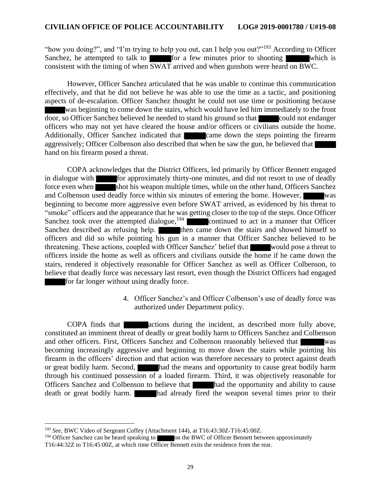"how you doing?", and "I'm trying to help you out, can I help you out?"<sup>193</sup> According to Officer Sanchez, he attempted to talk to  $\blacksquare$  for a few minutes prior to shooting which is consistent with the timing of when SWAT arrived and when gunshots were heard on BWC.

However, Officer Sanchez articulated that he was unable to continue this communication effectively, and that he did not believe he was able to use the time as a tactic, and positioning aspects of de-escalation. Officer Sanchez thought he could not use time or positioning because was beginning to come down the stairs, which would have led him immediately to the front door, so Officer Sanchez believed he needed to stand his ground so that could not endanger officers who may not yet have cleared the house and/or officers or civilians outside the home. Additionally, Officer Sanchez indicated that came down the steps pointing the firearm aggressively; Officer Colbenson also described that when he saw the gun, he believed that hand on his firearm posed a threat.

COPA acknowledges that the District Officers, led primarily by Officer Bennett engaged in dialogue with for approximately thirty-one minutes, and did not resort to use of deadly force even when shot his weapon multiple times, while on the other hand, Officers Sanchez and Colbenson used deadly force within six minutes of entering the home. However, was beginning to become more aggressive even before SWAT arrived, as evidenced by his threat to "smoke" officers and the appearance that he was getting closer to the top of the steps. Once Officer Sanchez took over the attempted dialogue,<sup>194</sup> continued to act in a manner that Officer Sanchez described as refusing help. then came down the stairs and showed himself to officers and did so while pointing his gun in a manner that Officer Sanchez believed to be threatening. These actions, coupled with Officer Sanchez' belief that would pose a threat to officers inside the home as well as officers and civilians outside the home if he came down the stairs, rendered it objectively reasonable for Officer Sanchez as well as Officer Colbenson, to believe that deadly force was necessary last resort, even though the District Officers had engaged for far longer without using deadly force.

> 4. Officer Sanchez's and Officer Colbenson's use of deadly force was authorized under Department policy.

COPA finds that **actions** during the incident, as described more fully above, constituted an imminent threat of deadly or great bodily harm to Officers Sanchez and Colbenson and other officers. First, Officers Sanchez and Colbenson reasonably believed that was becoming increasingly aggressive and beginning to move down the stairs while pointing his firearm in the officers' direction and that action was therefore necessary to protect against death or great bodily harm. Second, had the means and opportunity to cause great bodily harm through his continued possession of a loaded firearm. Third, it was objectively reasonable for Officers Sanchez and Colbenson to believe that **had the opportunity and ability to cause** death or great bodily harm. had already fired the weapon several times prior to their

<sup>193</sup> *See,* BWC Video of Sergeant Coffey (Attachment 144), at T16:43:30Z-T16:45:00Z.

<sup>&</sup>lt;sup>194</sup> Officer Sanchez can be heard speaking to on the BWC of Officer Bennett between approximately T16:44:32Z to T16:45:00Z, at which time Officer Bennett exits the residence from the rear.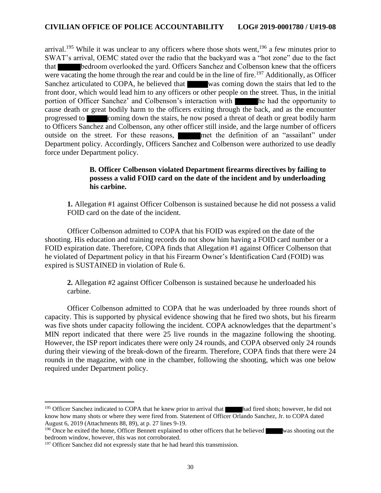arrival.<sup>195</sup> While it was unclear to any officers where those shots went,<sup>196</sup> a few minutes prior to SWAT's arrival, OEMC stated over the radio that the backyard was a "hot zone" due to the fact that bedroom overlooked the yard. Officers Sanchez and Colbenson knew that the officers were vacating the home through the rear and could be in the line of fire.<sup>197</sup> Additionally, as Officer Sanchez articulated to COPA, he believed that was coming down the stairs that led to the front door, which would lead him to any officers or other people on the street. Thus, in the initial portion of Officer Sanchez' and Colbenson's interaction with he had the opportunity to cause death or great bodily harm to the officers exiting through the back, and as the encounter progressed to coming down the stairs, he now posed a threat of death or great bodily harm to Officers Sanchez and Colbenson, any other officer still inside, and the large number of officers outside on the street. For these reasons, met the definition of an "assailant" under Department policy. Accordingly, Officers Sanchez and Colbenson were authorized to use deadly force under Department policy.

### **B. Officer Colbenson violated Department firearms directives by failing to possess a valid FOID card on the date of the incident and by underloading his carbine.**

**1.** Allegation #1 against Officer Colbenson is sustained because he did not possess a valid FOID card on the date of the incident.

Officer Colbenson admitted to COPA that his FOID was expired on the date of the shooting. His education and training records do not show him having a FOID card number or a FOID expiration date. Therefore, COPA finds that Allegation #1 against Officer Colbenson that he violated of Department policy in that his Firearm Owner's Identification Card (FOID) was expired is SUSTAINED in violation of Rule 6.

**2.** Allegation #2 against Officer Colbenson is sustained because he underloaded his carbine.

Officer Colbenson admitted to COPA that he was underloaded by three rounds short of capacity. This is supported by physical evidence showing that he fired two shots, but his firearm was five shots under capacity following the incident. COPA acknowledges that the department's MIN report indicated that there were 25 live rounds in the magazine following the shooting. However, the ISP report indicates there were only 24 rounds, and COPA observed only 24 rounds during their viewing of the break-down of the firearm. Therefore, COPA finds that there were 24 rounds in the magazine, with one in the chamber, following the shooting, which was one below required under Department policy.

<sup>&</sup>lt;sup>195</sup> Officer Sanchez indicated to COPA that he knew prior to arrival that had fired shots; however, he did not know how many shots or where they were fired from. Statement of Officer Orlando Sanchez, Jr. to COPA dated August 6, 2019 (Attachments 88, 89), at p. 27 lines 9-19.

<sup>&</sup>lt;sup>196</sup> Once he exited the home, Officer Bennett explained to other officers that he believed was shooting out the bedroom window, however, this was not corroborated.

 $197$  Officer Sanchez did not expressly state that he had heard this transmission.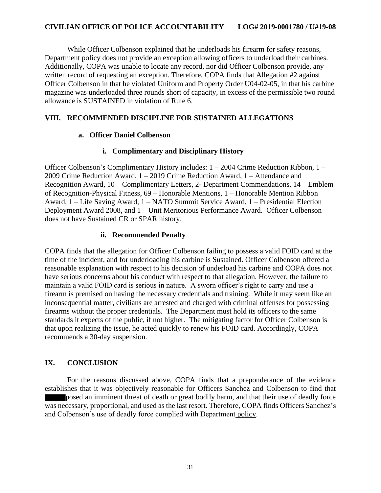While Officer Colbenson explained that he underloads his firearm for safety reasons, Department policy does not provide an exception allowing officers to underload their carbines. Additionally, COPA was unable to locate any record, nor did Officer Colbenson provide, any written record of requesting an exception. Therefore, COPA finds that Allegation #2 against Officer Colbenson in that he violated Uniform and Property Order U04-02-05, in that his carbine magazine was underloaded three rounds short of capacity, in excess of the permissible two round allowance is SUSTAINED in violation of Rule 6.

# **VIII. RECOMMENDED DISCIPLINE FOR SUSTAINED ALLEGATIONS**

## **a. Officer Daniel Colbenson**

## **i. Complimentary and Disciplinary History**

Officer Colbenson's Complimentary History includes: 1 – 2004 Crime Reduction Ribbon, 1 – 2009 Crime Reduction Award, 1 – 2019 Crime Reduction Award, 1 – Attendance and Recognition Award, 10 – Complimentary Letters, 2- Department Commendations, 14 – Emblem of Recognition-Physical Fitness, 69 – Honorable Mentions, 1 – Honorable Mention Ribbon Award, 1 – Life Saving Award, 1 – NATO Summit Service Award, 1 – Presidential Election Deployment Award 2008, and 1 – Unit Meritorious Performance Award. Officer Colbenson does not have Sustained CR or SPAR history.

### **ii. Recommended Penalty**

COPA finds that the allegation for Officer Colbenson failing to possess a valid FOID card at the time of the incident, and for underloading his carbine is Sustained. Officer Colbenson offered a reasonable explanation with respect to his decision of underload his carbine and COPA does not have serious concerns about his conduct with respect to that allegation. However, the failure to maintain a valid FOID card is serious in nature. A sworn officer's right to carry and use a firearm is premised on having the necessary credentials and training. While it may seem like an inconsequential matter, civilians are arrested and charged with criminal offenses for possessing firearms without the proper credentials. The Department must hold its officers to the same standards it expects of the public, if not higher. The mitigating factor for Officer Colbenson is that upon realizing the issue, he acted quickly to renew his FOID card. Accordingly, COPA recommends a 30-day suspension.

## **IX. CONCLUSION**

For the reasons discussed above, COPA finds that a preponderance of the evidence establishes that it was objectively reasonable for Officers Sanchez and Colbenson to find that posed an imminent threat of death or great bodily harm, and that their use of deadly force was necessary, proportional, and used as the last resort. Therefore, COPA finds Officers Sanchez's and Colbenson's use of deadly force complied with Department policy.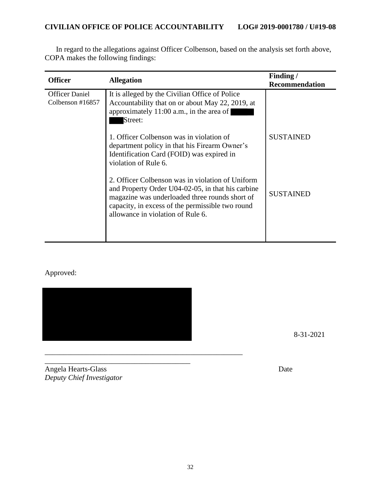| <b>Officer</b>                               | <b>Allegation</b>                                                                                                                                                                                                                                | Finding/<br><b>Recommendation</b> |
|----------------------------------------------|--------------------------------------------------------------------------------------------------------------------------------------------------------------------------------------------------------------------------------------------------|-----------------------------------|
| <b>Officer Daniel</b><br>Colbenson $\#16857$ | It is alleged by the Civilian Office of Police<br>Accountability that on or about May 22, 2019, at<br>approximately 11:00 a.m., in the area of<br>Street:                                                                                        |                                   |
|                                              | 1. Officer Colbenson was in violation of<br>department policy in that his Firearm Owner's<br>Identification Card (FOID) was expired in<br>violation of Rule 6.                                                                                   | <b>SUSTAINED</b>                  |
|                                              | 2. Officer Colbenson was in violation of Uniform<br>and Property Order U04-02-05, in that his carbine<br>magazine was underloaded three rounds short of<br>capacity, in excess of the permissible two round<br>allowance in violation of Rule 6. | <b>SUSTAINED</b>                  |
|                                              |                                                                                                                                                                                                                                                  |                                   |

In regard to the allegations against Officer Colbenson, based on the analysis set forth above, COPA makes the following findings:

# Approved:



\_\_\_\_\_\_\_\_\_\_\_\_\_\_\_\_\_\_\_\_\_\_\_\_\_\_\_\_\_\_\_\_\_\_\_\_\_\_\_\_\_\_\_\_\_\_\_\_\_\_\_\_\_

8-31-2021

\_\_\_\_\_\_\_\_\_\_\_\_\_\_\_\_\_\_\_\_\_\_\_\_\_\_\_\_\_\_\_\_\_\_\_\_\_\_\_ Angela Hearts-Glass Date *Deputy Chief Investigator*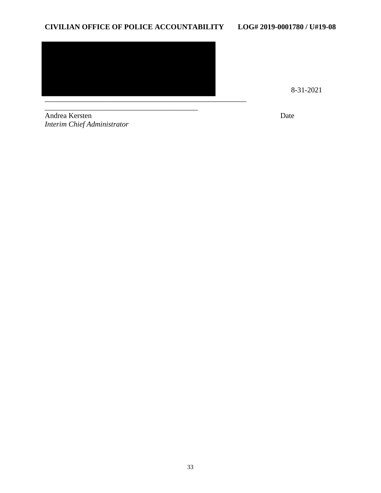

8-31-2021

\_\_\_\_\_\_\_\_\_\_\_\_\_\_\_\_\_\_\_\_\_\_\_\_\_\_\_\_\_\_\_\_\_\_\_\_\_\_\_\_\_ **Andrea Kersten** Date *Interim Chief Administrator*